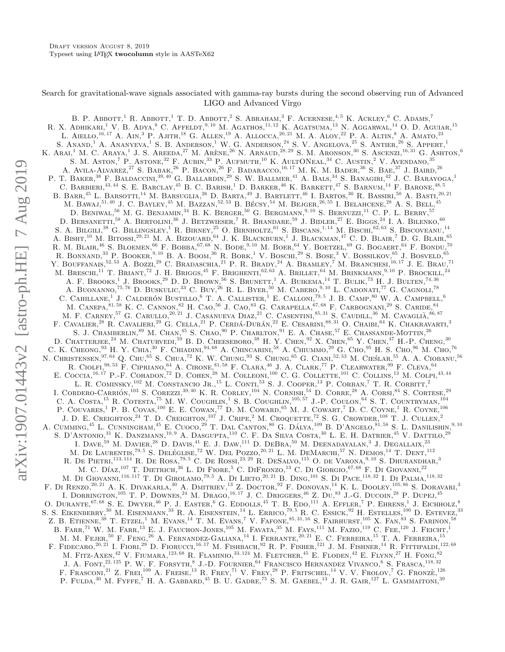# Search for gravitational-wave signals associated with gamma-ray bursts during the second observing run of Advanced LIGO and Advanced Virgo

B. P. Abbott,<sup>1</sup> R. Abbott,<sup>1</sup> T. D. Abbott,<sup>2</sup> S. Abraham,<sup>3</sup> F. Acernese,<sup>4,5</sup> K. Ackley,<sup>6</sup> C. Adams,<sup>7</sup> R. X. ADHIKARI,<sup>1</sup> V. B. ADYA,<sup>8</sup> C. Affeldt,<sup>9, 10</sup> M. Agathos,<sup>11, 12</sup> K. Agatsuma,<sup>13</sup> N. Aggarwal,<sup>14</sup> O. D. Aguiar,<sup>15</sup> L. AIELLO,<sup>16, 17</sup> A. AIN,<sup>3</sup> P. AJITH,<sup>18</sup> G. ALLEN,<sup>19</sup> A. ALLOCCA,<sup>20, 21</sup> M. A. ALOY,<sup>22</sup> P. A. ALTIN,<sup>8</sup> A. AMATO,<sup>23</sup> S. ANAND,<sup>1</sup> A. ANANYEVA,<sup>1</sup> S. B. ANDERSON,<sup>1</sup> W. G. ANDERSON,<sup>24</sup> S. V. ANGELOVA,<sup>25</sup> S. ANTIER,<sup>26</sup> S. APPERT,<sup>1</sup> K. ARAL<sup>1</sup> M. C. ARAYA,<sup>1</sup> J. S. AREEDA,<sup>27</sup> M. ARÈNE,<sup>26</sup> N. ARNAUD,<sup>28,29</sup> S. M. ARONSON,<sup>30</sup> S. ASCENZL<sup>16,31</sup> G. ASHTON,<sup>6</sup> S. M. Aston,<sup>7</sup> P. Astone,<sup>32</sup> F. Aubin,<sup>33</sup> P. Aufmuth,<sup>10</sup> K. AultONeal,<sup>34</sup> C. Austin,<sup>2</sup> V. Avendano,<sup>35</sup> A. AVILA-ALVAREZ,  $^{27}$  S. Babak,  $^{26}$  P. Bacon,  $^{26}$  F. Badaracco,  $^{16,17}$  M. K. M. Bader,  $^{36}$  S. Bae,  $^{37}$  J. Baird,  $^{26}$ P. T. BAKER,<sup>38</sup> F. BALDACCINI,<sup>39, 40</sup> G. BALLARDIN,<sup>29</sup> S. W. BALLMER,<sup>41</sup> A. BALS,<sup>34</sup> S. BANAGIRI,<sup>42</sup> J. C. BARAYOGA,<sup>1</sup> C. BARBIERL<sup>43, 44</sup> S. E. BARCLAY, <sup>45</sup> B. C. BARISH,<sup>1</sup> D. BARKER, <sup>46</sup> K. BARKETT, <sup>47</sup> S. BARNUM,<sup>14</sup> F. BARONE, <sup>48, 5</sup> B. BARR,<sup>45</sup> L. BARSOTTI,<sup>14</sup> M. BARSUGLIA.<sup>26</sup> D. BARTA,<sup>49</sup> J. BARTLETT,<sup>46</sup> I. BARTOS,<sup>30</sup> R. BASSIRI,<sup>50</sup> A. BASTI,<sup>20, 21</sup> M. BAWAJ,  $^{51,40}$  J. C. BAYLEY,  $^{45}$  M. BAZZAN,  $^{52,53}$  B. BÉCSY,  $^{54}$  M. BEJGER,  $^{26,55}$  I. BELAHCENE,  $^{28}$  A. S. BELL,  $^{45}$ D. BENIWAL<sup>56</sup> M. G. BENJAMIN.<sup>34</sup> B. K. BERGER,<sup>50</sup> G. BERGMANN.<sup>9,10</sup> S. BERNUZZL<sup>11</sup> C. P. L. BERRY.<sup>57</sup> D. BERSANETTI,<sup>58</sup> A. BERTOLINI,<sup>36</sup> J. BETZWIESER,<sup>7</sup> R. BHANDARE,<sup>59</sup> J. BIDLER,<sup>27</sup> E. BIGGs,<sup>24</sup> I. A. BILENKO,<sup>60</sup> S. A. BILGILI, $^{38}$  G. BILLINGSLEY,<sup>1</sup> R. BIRNEY,<sup>25</sup> O. BIRNHOLTZ,<sup>61</sup> S. BISCANS,<sup>1,14</sup> M. BISCHI,<sup>62,63</sup> S. BISCOVEANU,<sup>14</sup> A. BISHT,<sup>10</sup> M. BITOSSI,<sup>29, 21</sup> M. A. BIZOUARD,<sup>64</sup> J. K. BLACKBURN,<sup>1</sup> J. BLACKMAN,<sup>47</sup> C. D. BLAIR,<sup>7</sup> D. G. BLAIR,<sup>65</sup> R. M. BLAIR,<sup>46</sup> S. BLOEMEN,<sup>66</sup> F. BOBBA,<sup>67, 68</sup> N. BODE,<sup>9, 10</sup> M. BOER,<sup>64</sup> Y. BOETZEL,<sup>69</sup> G. BOGAERT,<sup>64</sup> F. BONDU,<sup>70</sup> R. BONNAND,<sup>33</sup> P. BOOKER,<sup>9, 10</sup> B. A. BOOM,<sup>36</sup> R. BORK,<sup>1</sup> V. BOSCHI,<sup>29</sup> S. BOSE,<sup>3</sup> V. BOSSILKOV,<sup>65</sup> J. BOSVELD,<sup>65</sup> Y. BOUFFANAIS,<sup>52, 53</sup> A. BOZZI,<sup>29</sup> C. BRADASCHIA,<sup>21</sup> P. R. BRADY,<sup>24</sup> A. BRAMLEY,<sup>7</sup> M. BRANCHESI,<sup>16, 17</sup> J. E. BRAU,<sup>71</sup> M. BRESCHI,<sup>11</sup> T. Briant,<sup>72</sup> J. H. Briggs,<sup>45</sup> F. Brighenti,<sup>62, 63</sup> A. Brillet,<sup>64</sup> M. Brinkmann,<sup>9,10</sup> P. Brockill,<sup>24</sup> A. F. BROOKS.<sup>1</sup> J. BROOKS.<sup>29</sup> D. D. BROWN.<sup>56</sup> S. BRUNETT.<sup>1</sup> A. BUIKEMA.<sup>14</sup> T. BULIK.<sup>73</sup> H. J. BULTEN.<sup>74,36</sup> A. BUONANNO,  $^{75,76}$  D. Buskulic,  $^{33}$  C. Buy,  $^{26}$  R. L. Byer,  $^{50}$  M. Cabero,  $^{9,10}$  L. Cadonati,  $^{77}$  G. Cagnoli,  $^{78}$ C. CAHILLANE,<sup>1</sup> J. CALDERÓN BUSTILLO,<sup>6</sup> T. A. CALLISTER,<sup>1</sup> E. CALLONI,<sup>79,5</sup> J. B. CAMP,<sup>80</sup> W. A. CAMPBELL,<sup>6</sup> M. CANEPA,  $^{81,58}$  K. C. CANNON,  $^{82}$  H. Cao,  $^{56}$  J. Cao,  $^{83}$  G. Carapella,  $^{67,68}$  F. Carbognani,  $^{29}$  S. Caride,  $^{84}$ M. F. CARNEY, <sup>57</sup> G. CARULLO, <sup>20, 21</sup> J. CASANUEVA DIAZ.<sup>21</sup> C. CASENTINI,<sup>85, 31</sup> S. CAUDILL, <sup>36</sup> M. CAVAGLIA, <sup>86, 87</sup> F. CAVALIER.<sup>28</sup> R. CAVALIERI,<sup>29</sup> G. CELLA.<sup>21</sup> P. CERDÁ-DURÁN,<sup>22</sup> E. CESARINI,<sup>88, 31</sup> O. CHAIBI,<sup>64</sup> K. CHAKRAVARTI,<sup>3</sup> S. J. CHAMBERLIN,<sup>89</sup> M. CHAN,<sup>45</sup> S. CHAO,<sup>90</sup> P. CHARLTON,<sup>91</sup> E. A. CHASE,<sup>57</sup> E. CHASSANDE-MOTTIN.<sup>26</sup> D. Chatterjee,<sup>24</sup> M. Chaturvedi,<sup>59</sup> B. D. Cheeseboro,<sup>38</sup> H. Y. Chen,<sup>92</sup> X. Chen,<sup>65</sup> Y. Chen,<sup>47</sup> H.-P. Cheng,<sup>30</sup> C. K. Cheong,<sup>93</sup> H. Y. Chia,<sup>30</sup> F. Chiadini,94, 68 A. Chincarini,<sup>58</sup> A. Chiummo,<sup>29</sup> G. Cho,<sup>95</sup> H. S. Cho,<sup>96</sup> M. Cho,<sup>76</sup> N. CHRISTENSEN, <sup>97, 64</sup> Q. CHU, <sup>65</sup> S. CHUA, <sup>72</sup> K. W. CHUNG, <sup>93</sup> S. CHUNG, <sup>65</sup> G. CIANI, <sup>52, 53</sup> M. CIEŚLAR, <sup>55</sup> A. A. CIOBANU, <sup>56</sup> R. CIOLFI,  $^{98,53}$  F. CIPRIANO,  $^{64}$  A. CIRONE,  $^{81,58}$  F. CLARA,  $^{46}$  J. A. CLARK,  $^{77}$  P. CLEARWATER,  $^{99}$  F. CLEVA,  $^{64}$ E. COCCIA, <sup>16, 17</sup> P.-F. COHADON,<sup>72</sup> D. COHEN.<sup>28</sup> M. COLLEONI,<sup>100</sup> C. G. COLLETTE,<sup>101</sup> C. COLLINS,<sup>13</sup> M. COLPI,<sup>43,44</sup> L. R. COMINSKY,<sup>102</sup> M. CONSTANCIO JR.,<sup>15</sup> L. CONTL<sup>53</sup> S. J. COOPER,<sup>13</sup> P. CORBAN,<sup>7</sup> T. R. CORBITT,<sup>2</sup> I. CORDERO-CARRIÓN, <sup> $103$ </sup> S. COREZZI,  $39, 40$  K. R. CORLEY,  $104$  N. CORNISH,  $54$  D. CORRE,  $28$  A. CORSI,  $84$  S. CORTESE,  $29$ C. A. COSTA,<sup>15</sup> R. COTESTA,<sup>75</sup> M. W. COUGHLIN,<sup>1</sup> S. B. COUGHLIN,<sup>105,57</sup> J.-P. COULON,<sup>64</sup> S. T. COUNTRYMAN,<sup>104</sup> P. COUVARES,<sup>1</sup> P. B. COVAS,<sup>100</sup> E. E. COWAN,<sup>77</sup> D. M. COWARD,<sup>65</sup> M. J. COWART,<sup>7</sup> D. C. COYNE,<sup>1</sup> R. COYNE,<sup>106</sup> J. D. E. CREIGHTON,<sup>24</sup> T. D. CREIGHTON,<sup>107</sup> J. CRIPE,<sup>2</sup> M. CROQUETTE,<sup>72</sup> S. G. CROWDER,<sup>108</sup> T. J. CULLEN,<sup>2</sup> A. CUMMING,<sup>45</sup> L. CUNNINGHAM,<sup>45</sup> E. CUOCO.<sup>29</sup> T. DAL CANTON,<sup>80</sup> G. DÁLYA,<sup>109</sup> B. D'ANGELO,<sup>81,58</sup> S. L. DANILISHIN,<sup>9,10</sup> S. D'ANTONIO,<sup>31</sup> K. DANZMANN,<sup>10, 9</sup> A. DASGUPTA,<sup>110</sup> C. F. DA SILVA COSTA,<sup>30</sup> L. E. H. DATRIER,<sup>45</sup> V. DATTILO,<sup>29</sup> I. DAVE,  $^{59}$  M. Davier,  $^{28}$  D. Davis,  $^{41}$  E. J. Daw,  $^{111}$  D. DeBra,  $^{50}$  M. Deenadayalan,  $^{3}$  J. Degallaix,  $^{23}$ M. DE LAURENTIS,<sup>79,5</sup> S. DELÉGLISE,<sup>72</sup> W. DEL POZZO,<sup>20,21</sup> L. M. DEMARCHI,<sup>57</sup> N. DEMOS,<sup>14</sup> T. DENT,<sup>112</sup> R. DE PIETRI,<sup>113, 114</sup> R. DE ROSA,<sup>79, 5</sup> C. DE ROSSI,<sup>23, 29</sup> R. DESALVO,<sup>115</sup> O. de VARONA,<sup>9, 10</sup> S. DHURANDHAR,<sup>3</sup> M. C. DÍAZ,<sup>107</sup> T. DIETRICH,<sup>36</sup> L. DI FIORE,<sup>5</sup> C. DIFRONZO,<sup>13</sup> C. DI GIORGIO,<sup>67,68</sup> F. DI GIOVANNI,<sup>22</sup> M. DI GIOVANNI,<sup>116, 117</sup> T. DI GIROLAMO,<sup>79, 5</sup> A. DI LIETO,<sup>20, 21</sup> B. DING,<sup>101</sup> S. DI PACE,<sup>118,32</sup> I. DI PALMA,<sup>118,32</sup> F. DI RENZO,<sup>20, 21</sup> A. K. DIVAKARLA,<sup>30</sup> A. DMITRIEV,<sup>13</sup> Z. DOCTOR,<sup>92</sup> F. DONOVAN,<sup>14</sup> K. L. DOOLEY,<sup>105, 86</sup> S. DORAVARI,<sup>3</sup> I. DORRINGTON,<sup>105</sup> T. P. DOWNES,<sup>24</sup> M. DRAGO,<sup>16, 17</sup> J. C. DRIGGERS,<sup>46</sup> Z. Du,<sup>83</sup> J.-G. DUCOIN,<sup>28</sup> P. DUPEJ,<sup>45</sup> O. DURANTE, <sup>67, 68</sup> S. E. DWYER, <sup>46</sup> P. J. EASTER, <sup>6</sup> G. EDDOLLS, <sup>45</sup> T. B. EDO, <sup>111</sup> A. EFFLER, <sup>7</sup> P. EHRENS, <sup>1</sup> J. EICHHOLZ, <sup>8</sup> S. S. EIKENBERRY,<sup>30</sup> M. EISENMANN,<sup>33</sup> R. A. EISENSTEIN,<sup>14</sup> L. ERRICO,<sup>79,5</sup> R. C. ESSICK,<sup>92</sup> H. ESTELLES,<sup>100</sup> D. ESTEVEZ,<sup>33</sup> Z. B. ETIENNE,<sup>38</sup> T. ETZEL,<sup>1</sup> M. Evans,<sup>14</sup> T. M. Evans,<sup>7</sup> V. Fafone,<sup>85, 31, 16</sup> S. Fairhurst,<sup>105</sup> X. Fan,<sup>83</sup> S. Farinon,<sup>58</sup> B. FARR,<sup>71</sup> W. M. FARR,<sup>13</sup> E. J. FAUCHON-JONES,<sup>105</sup> M. FAVATA,<sup>35</sup> M. FAYS,<sup>111</sup> M. FAZIO,<sup>119</sup> C. FEE,<sup>120</sup> J. FEICHT,<sup>1</sup> M. M. Fejer,<sup>50</sup> F. Feng,<sup>26</sup> A. Fernandez-Galiana,<sup>14</sup> I. Ferrante,20, 21 E. C. Ferreira,<sup>15</sup> T. A. Ferreira,<sup>15</sup> F. FIDECARO,<sup>20, 21</sup> I. FIORL<sup>29</sup> D. FIORUCCI,<sup>16, 17</sup> M. FISHBACH,<sup>92</sup> R. P. FISHER,<sup>121</sup> J. M. FISHNER,<sup>14</sup> R. FITTIPALDI,<sup>122,68</sup> M. FITZ-AXEN,<sup>42</sup> V. FIUMARA,<sup>123,68</sup> R. FLAMINIO,<sup>33,124</sup> M. FLETCHER,<sup>45</sup> E. FLODEN,<sup>42</sup> E. FLYNN,<sup>27</sup> H. FONG,<sup>82</sup> J. A. FONT.<sup>22, 125</sup> P. W. F. FORSYTH.<sup>8</sup> J.-D. FOURNIER.<sup>64</sup> FRANCISCO HERNANDEZ VIVANCO.<sup>6</sup> S. FRASCA.<sup>118,32</sup> F. FRASCONI.<sup>21</sup> Z. FREL<sup>109</sup> A. FREISE.<sup>13</sup> R. FREY,<sup>71</sup> V. FREY,<sup>28</sup> P. FRITSCHEL.<sup>14</sup> V. V. FROLOV,<sup>7</sup> G. FRONZÈ.<sup>126</sup> P. FULDA, $^{30}$  M. Fyffe, <sup>7</sup> H. A. Gabbard,<sup>45</sup> B. U. Gadre,<sup>75</sup> S. M. Gaebel,<sup>13</sup> J. R. Gair,<sup>127</sup> L. Gammaitoni,<sup>39</sup>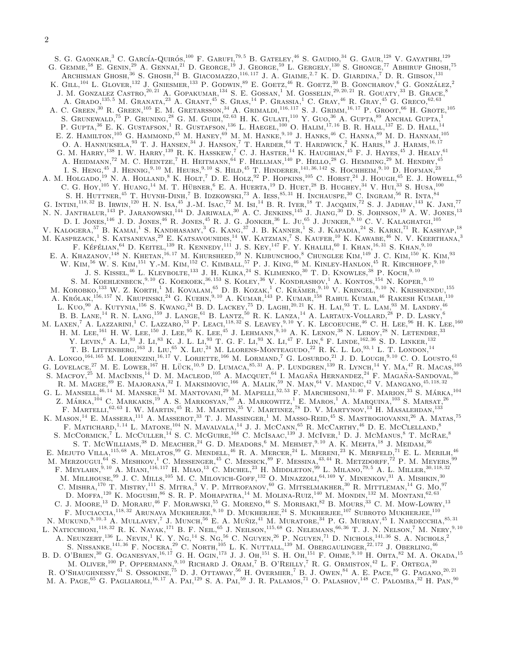S. G. GAONKAR.<sup>3</sup> C. GARCÍA-QUIRÓS.<sup>100</sup> F. GARUFI.<sup>79,5</sup> B. GATELEY.<sup>46</sup> S. GAUDIO.<sup>34</sup> G. GAUR.<sup>128</sup> V. GAYATHRI.<sup>129</sup> G. GEMME,  $^{58}$  E. GENIN,  $^{29}$  A. GENNAL,  $^{21}$  D. GEORGE,  $^{19}$  J. GEORGE,  $^{59}$  L. GERGELY,  $^{130}$  S. GHONGE,  $^{77}$  Abhirup Ghosh,  $^{75}$ ARCHISMAN GHOSH,<sup>36</sup> S. GHOSH,<sup>24</sup> B. GIACOMAZZO,<sup>116,117</sup> J. A. GIAIME,<sup>2,7</sup> K. D. GIARDINA,<sup>7</sup> D. R. GIBSON,<sup>131</sup> K. GILL,<sup>104</sup> L. GLOVER,<sup>132</sup> J. GNIESMER,<sup>133</sup> P. GODWIN.<sup>89</sup> E. GOETZ,<sup>46</sup> R. GOETZ,<sup>30</sup> B. GONCHAROV,<sup>6</sup> G. GONZÁLEZ,<sup>2</sup> J. M. GONZALEZ CASTRO,<sup>20, 21</sup> A. GOPAKUMAR,<sup>134</sup> S. E. GOSSAN,<sup>1</sup> M. GOSSELIN,<sup>29, 20, 21</sup> R. GOUATY,<sup>33</sup> B. GRACE,<sup>8</sup> A. GRADO,<sup>135, 5</sup> M. GRANATA,<sup>23</sup> A. GRANT,<sup>45</sup> S. GRAS,<sup>14</sup> P. GRASSIA,<sup>1</sup> C. GRAY,<sup>46</sup> R. GRAY,<sup>45</sup> G. GRECO,<sup>62,63</sup> A. C. GREEN,  $^{30}$  R. GREEN,  $^{105}$  E. M. GRETARSSON,  $^{34}$  A. GRIMALDI,  $^{116,117}$  S. J. GRIMM,  $^{16,17}$  P. GROOT,  $^{66}$  H. GROTE,  $^{105}$ S. GRUNEWALD,<sup>75</sup> P. GRUNING,<sup>28</sup> G. M. GUIDI,<sup>62, 63</sup> H. K. GULATI,<sup>110</sup> Y. GUO,<sup>36</sup> A. GUPTA,<sup>89</sup> ANCHAL GUPTA,<sup>1</sup> P. GUPTA,<sup>36</sup> E. K. GUSTAFSON,<sup>1</sup> R. GUSTAFSON,<sup>136</sup> L. HAEGEL,<sup>100</sup> O. HALIM,<sup>17,16</sup> B. R. HALL,<sup>137</sup> E. D. HALL,<sup>14</sup> E. Z. HAMILTON,  $^{105}$  G. HAMMOND,  $^{45}$  M. HANEY,  $^{69}$  M. M. HANKE,  $^{9,10}$  J. HANKS,  $^{46}$  C. HANNA,  $^{89}$  M. D. HANNAM,  $^{105}$ O. A. HANNUKSELA,  $^{93}$  T. J. HANSEN,  $^{34}$  J. HANSON,  $^7$  T. HARDER,  $^{64}$  T. HARDWICK,  $^2$  K. HARIS,  $^{18}$  J. HARMS,  $^{16,17}$ G. M. HARRY,  $^{138}$  I. W. Harry,  $^{139}$  R. K. Hasskew,  $^{7}$  C. J. Haster,  $^{14}$  K. Haughian,  $^{45}$  F. J. Hayes,  $^{45}$  J. Healy,  $^{61}$ A. HEIDMANN,<sup>72</sup> M. C. HEINTZE,<sup>7</sup> H. HEITMANN,<sup>64</sup> F. HELLMAN,<sup>140</sup> P. HELLO,<sup>28</sup> G. HEMMING,<sup>29</sup> M. HENDRY,<sup>45</sup> I. S. Heng,<sup>45</sup> J. Hennig,<sup>9, 10</sup> M. Heurs,<sup>9, 10</sup> S. Hild,<sup>45</sup> T. Hinderer,<sup>141,36, 142</sup> S. Hochheim,<sup>9, 10</sup> D. Hofman,<sup>23</sup> A. M. HOLGADO,<sup>19</sup> N. A. HOLLAND,<sup>8</sup> K. HOLT,<sup>7</sup> D. E. HOLZ,<sup>92</sup> P. HOPKINS,<sup>105</sup> C. HORST,<sup>24</sup> J. HOUGH,<sup>45</sup> E. J. HOWELL,<sup>65</sup> C. G. Hoy,<sup>105</sup> Y. Huang,<sup>14</sup> M. T. Hübner, <sup>6</sup> E. A. Huerta,<sup>19</sup> D. Huet, <sup>28</sup> B. Hughey, <sup>34</sup> V. Hui, <sup>33</sup> S. Husa,<sup>100</sup> S. H. HUTTNER,  $^{45}$  T. HUYNH-DINH, <sup>7</sup> B. Idzkowski, <sup>73</sup> A. Iess,  $^{85,31}$  H. Inchauspe,  $^{30}$  C. Ingram,  $^{56}$  R. Inta,  $^{84}$ G. INTINI,<sup>118, 32</sup> B. IRWIN,<sup>120</sup> H. N. ISA,<sup>45</sup> J.-M. ISAC,<sup>72</sup> M. ISI,<sup>14</sup> B. R. IYER,<sup>18</sup> T. JACOMIN,<sup>72</sup> S. J. JADHAV,<sup>143</sup> K. JANI,<sup>77</sup> N. N. JANTHALUR,<sup>143</sup> P. JARANOWSKI,<sup>144</sup> D. JARIWALA,<sup>30</sup> A. C. JENKINS,<sup>145</sup> J. JIANG,<sup>30</sup> D. S. JOHNSON,<sup>19</sup> A. W. JONES,<sup>13</sup> D. I. JONES,<sup>146</sup> J. D. JONES,<sup>46</sup> R. JONES,<sup>45</sup> R. J. G. JONKER,<sup>36</sup> L. JU,<sup>65</sup> J. JUNKER,<sup>9,10</sup> C. V. KALAGHATGL<sup>105</sup> V. KALOGERA, <sup>57</sup> B. KAMAL<sup>1</sup> S. KANDHASAMY,<sup>3</sup> G. KANG,<sup>37</sup> J. B. KANNER,<sup>1</sup> S. J. KAPADIA,<sup>24</sup> S. KARKL<sup>71</sup> R. KASHYAP,<sup>18</sup> M. KASPRZACK,<sup>1</sup> S. KATSANEVAS,<sup>29</sup> E. KATSAVOUNIDIS,<sup>14</sup> W. KATZMAN,<sup>7</sup> S. KAUFER,<sup>10</sup> K. KAWABE,<sup>46</sup> N. V. KEERTHANA,<sup>3</sup> F. KÉFÉLIAN, <sup>64</sup> D. KEITEL, <sup>139</sup> R. KENNEDY, <sup>111</sup> J. S. KEY, <sup>147</sup> F. Y. KHALILI, <sup>60</sup> I. KHAN, <sup>16, 31</sup> S. KHAN, <sup>9, 10</sup> E. A. KHAZANOV,<sup>148</sup> N. KHETAN,<sup>16, 17</sup> M. KHURSHEED,<sup>59</sup> N. KIJBUNCHOO,<sup>8</sup> CHUNGLEE KIM,<sup>149</sup> J. C. KIM,<sup>150</sup> K. KIM,<sup>93</sup> W. KIM,<sup>56</sup> W. S. KIM,<sup>151</sup> Y.-M. KIM,<sup>152</sup> C. KIMBALL,<sup>57</sup> P. J. KING,<sup>46</sup> M. KINLEY-HANLON,<sup>45</sup> R. KIRCHHOFF,<sup>9, 10</sup> J. S. KISSEL,<sup>46</sup> L. KLEYBOLTE,<sup>133</sup> J. H. KLIKA,<sup>24</sup> S. KLIMENKO,<sup>30</sup> T. D. KNOWLES,<sup>38</sup> P. KOCH,<sup>9,10</sup> S. M. KOEHLENBECK,  $^{9,10}$  G. KOEKOEK,  $^{36,153}$  S. KOLEY,  $^{36}$  V. KONDRASHOV,  $^{1}$  A. KONTOS,  $^{154}$  N. KOPER,  $^{9,10}$ M. KOROBKO,  $^{133}$  W. Z. KORTH, <sup>1</sup> M. KOVALAM, <sup>65</sup> D. B. KOZAK, <sup>1</sup> C. KRÄMER, <sup>9, 10</sup> V. KRINGEL, <sup>9, 10</sup> N. KRISHNENDU,  $^{155}$ A. Królak, <sup>156, 157</sup> N. Krupinski, <sup>24</sup> G. Kuehn, <sup>9, 10</sup> A. Kumar, <sup>143</sup> P. Kumar, <sup>158</sup> Rahul Kumar, <sup>46</sup> Rakesh Kumar, <sup>110</sup> L. KUO,<sup>90</sup> A. KUTYNIA,<sup>156</sup> S. KWANG,<sup>24</sup> B. D. LACKEY,<sup>75</sup> D. LAGHI,<sup>20, 21</sup> K. H. LAI,<sup>93</sup> T. L. LAM,<sup>93</sup> M. LANDRY,<sup>46</sup> B. B. LANE,  $^{14}$  R. N. LANG,  $^{159}$  J. LANGE,  $^{61}$  B. LANTZ,  $^{50}$  R. K. LANZA,  $^{14}$  A. LARTAUX-VOLLARD,  $^{28}$  P. D. LASKY,  $^{6}$ M. LAXEN,<sup>7</sup> A. LAZZARINI,<sup>1</sup> C. LAZZARO,<sup>53</sup> P. LEACI,<sup>118,32</sup> S. LEAVEY,<sup>9,10</sup> Y. K. LECOEUCHE,<sup>46</sup> C. H. LEE,<sup>96</sup> H. K. LEE,<sup>160</sup> H. M. LEE,  $^{161}$  H. W. LEE,  $^{150}$  J. Lee,  $^{95}$  K. Lee,  $^{45}$  J. Lehmann,  $^{9,10}$  A. K. Lenon,  $^{38}$  N. Leroy,  $^{28}$  N. Letendre,  $^{33}$ Y. LEVIN,  $^{6}$  A. Li,  $^{93}$  J. Li,  $^{83}$  K. J. L. Li,  $^{93}$  T. G. F. Li,  $^{93}$  X. Li,  $^{47}$  F. Lin,  $^{6}$  F. Linde,  $^{162,36}$  S. D. Linker,  $^{132}$ T. B. LITTENBERG,  $^{163}$  J. LIU,  $^{65}$  X. LIU,  $^{24}$  M. LLORENS-MONTEAGUDO,  $^{22}$  R. K. L. LO,  $^{93,1}$  L. T. LONDON,  $^{14}$ A. Longo,<sup>164, 165</sup> M. Lorenzini,<sup>16, 17</sup> V. Loriette,<sup>166</sup> M. Lormand,<sup>7</sup> G. Losurdo,<sup>21</sup> J. D. Lough,<sup>9, 10</sup> C. O. Lousto,<sup>61</sup> G. LOVELACE.<sup>27</sup> M. E. LOWER,<sup>167</sup> H. LUCK, <sup>10,9</sup> D. LUMACA, <sup>85, 31</sup> A. P. LUNDGREN, <sup>139</sup> R. LYNCH, <sup>14</sup> Y. MA, <sup>47</sup> R. Macas, <sup>105</sup> S. MACFOY, <sup>25</sup> M. MACINNIS.<sup>14</sup> D. M. MACLEOD, <sup>105</sup> A. MACQUET, <sup>64</sup> I. MAGAÑA HERNANDEZ, <sup>24</sup> F. MAGAÑA-SANDOVAL, <sup>30</sup> R. M. MAGEE,  $^{89}$  E. Majorana,  $^{32}$  I. Maksimovic,  $^{166}$  A. Malik,  $^{59}$  N. Man,  $^{64}$  V. Mandic,  $^{42}$  V. Mangano,  $^{45, 118, 32}$ G. L. MANSELL,  $^{46,14}$  M. Manske,  $^{24'}$ M. Mantovani,  $^{29'}$ M. Mapelli,  $^{52,53}$  F. Marchesoni,  $^{51,40'}$  F. Marion,  $^{33}$  S. Márka,  $^{104}$ Z. MÁRKA,  $^{104}$  C. Markakis, $^{19}$  A. S. Markosyan, $^{50}$  A. Markowitz, <sup>1</sup> E. Maros, <sup>1</sup> A. Marquina,  $^{103}$  S. Marsat,  $^{26}$ F. MARTELLI,  $^{62, 63}$  I. W. MARTIN,  $^{45}$  R. M. MARTIN,  $^{35}$  V. MARTINEZ,  $^{78}$  D. V. MARTYNOV,  $^{13}$  H. MASALEHDAN,  $^{133}$ K. MASON,<sup>14</sup> E. MASSERA,<sup>111</sup> A. MASSEROT,<sup>33</sup> T. J. MASSINGER,<sup>1</sup> M. MASSO-REID,<sup>45</sup> S. MASTROGIOVANNI.<sup>26</sup> A. MATAS,<sup>75</sup> F. MATICHARD,<sup>1,14</sup> L. MATONE,<sup>104</sup> N. MAVALVALA,<sup>14</sup> J. J. MCCANN,<sup>65</sup> R. McCARTHY,<sup>46</sup> D. E. McCLELLAND,<sup>8</sup> S. McCormick,<sup>7</sup> L. McCuller,<sup>14</sup> S. C. McGuire,<sup>168</sup> C. McIsaac,<sup>139</sup> J. McIver,<sup>1</sup> D. J. McManus,<sup>8</sup> T. McRae,<sup>8</sup> S. T. MCWILLIAMS, <sup>38</sup> D. MEACHER, <sup>24</sup> G. D. MEADORS, <sup>6</sup> M. MEHMET, <sup>9, 10</sup> A. K. MEHTA, <sup>18</sup> J. MEIDAM, <sup>36</sup> E. Mejuto Villa,115, 68 A. Melatos,<sup>99</sup> G. Mendell,<sup>46</sup> R. A. Mercer,<sup>24</sup> L. Mereni,<sup>23</sup> K. Merfeld,<sup>71</sup> E. L. Merilh,<sup>46</sup> M. MERZOUGUI,  $^{64}$  S. Meshkov,<sup>1</sup> C. Messenger,  $^{45}$  C. Messick,  $^{89}$  F. Messina,  $^{43,44}$  R. Metzdorff,  $^{72}$  P. M. Meyers,  $^{99}$ F. MEYLAHN,<sup>9, 10</sup> A. MIANI,<sup>116, 117</sup> H. MIAO,<sup>13</sup> C. MICHEL,<sup>23</sup> H. MIDDLETON,<sup>99</sup> L. MILANO,<sup>79,5</sup> A. L. MILLER,<sup>30, 118, 32</sup> M. Millhouse,<sup>99</sup> J. C. Mills,<sup>105</sup> M. C. Milovich-Goff,<sup>132</sup> O. Minazzoli,64, 169 Y. Minenkov,<sup>31</sup> A. Mishkin,<sup>30</sup> C. MISHRA,<sup>170</sup> T. MISTRY,<sup>111</sup> S. MITRA,<sup>3</sup> V. P. MITROFANOV,<sup>60</sup> G. MITSELMAKHER,<sup>30</sup> R. MITTLEMAN,<sup>14</sup> G. Mo.<sup>97</sup> D. MOFFA,<sup>120</sup> K. MOGUSHI,<sup>86</sup> S. R. P. MOHAPATRA,<sup>14</sup> M. MOLINA-RUIZ,<sup>140</sup> M. MONDIN,<sup>132</sup> M. MONTANI,<sup>62,63</sup> C. J. MOORE,  $^{13}$  D. MORARU,  $^{46}$  F. MORAWSKI,  $^{55}$  G. MORENO,  $^{46}$  S. MORISAKI,  $^{82}$  B. MOURS,  $^{33}$  C. M. MOW-LOWRY,  $^{13}$ F. MUCIACCIA,  $^{118,32}$  Arunava Mukherjee,  $^{9,10}$  D. Mukherjee,  $^{24}$  S. Mukherjee,  $^{107}$  Subroto Mukherjee,  $^{110}$ N. MUKUND,<sup>9, 10, 3</sup> A. MULLAVEY,<sup>7</sup> J. MUNCH,<sup>56</sup> E. A. MUÑIZ,<sup>41</sup> M. MURATORE,<sup>34</sup> P. G. MURRAY,<sup>45</sup> I. NARDECCHIA,<sup>85, 31</sup> L. NATICCHIONI,<sup>118, 32</sup> R. K. NAYAK,<sup>171</sup> B. F. Neil,<sup>65</sup> J. Nellson,<sup>115,68</sup> G. Nelemans,<sup>66,36</sup> T. J. N. Nelson,<sup>7</sup> M. Nery,<sup>9,10</sup> A. NEUNZERT,  $^{136}$  L. NEVIN,  $^1$  K. Y. Ng,  $^{14}$  S. Ng,  $^{56}$  C. Nguyen,  $^{26}$  P. Nguyen,  $^{71}$  D. Nichols,  $^{141,36}$  S. A. Nichols,  $^{2}$ S. NISSANKE,  $^{141,36}$  F. NOCERA,  $^{29}$  C. NORTH,  $^{105}$  L. K. NUTTALL,  $^{139}$  M. Obergaulinger,  $^{22,172}$  J. Oberling,  $^{46}$ B. D. O'BRIEN,<sup>30</sup> G. Oganesyan,<sup>16, 17</sup> G. H. Ogin,<sup>173</sup> J. J. Oh,<sup>151</sup> S. H. Oh,<sup>151</sup> F. Ohme,<sup>9,10</sup> H. Ohta,<sup>82</sup> M. A. Okada,<sup>15</sup> M. OLIVER, <sup>100</sup> P. OPPERMANN, <sup>9, 10</sup> RICHARD J. ORAM,<sup>7</sup> B. O'REILLY,<sup>7</sup> R. G. ORMISTON, <sup>42</sup> L. F. ORTEGA, <sup>30</sup> R. O'SHAUGHNESSY, <sup>61</sup> S. OSSOKINE, <sup>75</sup> D. J. OTTAWAY, <sup>56</sup> H. OVERMIER, <sup>7</sup> B. J. OWEN, <sup>84</sup> A. E. PACE, <sup>89</sup> G. PAGANO, <sup>20, 21</sup> M. A. Page,<sup>65</sup> G. Pagliaroli,16, 17 A. Pai,<sup>129</sup> S. A. Pai,<sup>59</sup> J. R. Palamos,<sup>71</sup> O. Palashov,<sup>148</sup> C. Palomba,<sup>32</sup> H. Pan,<sup>90</sup>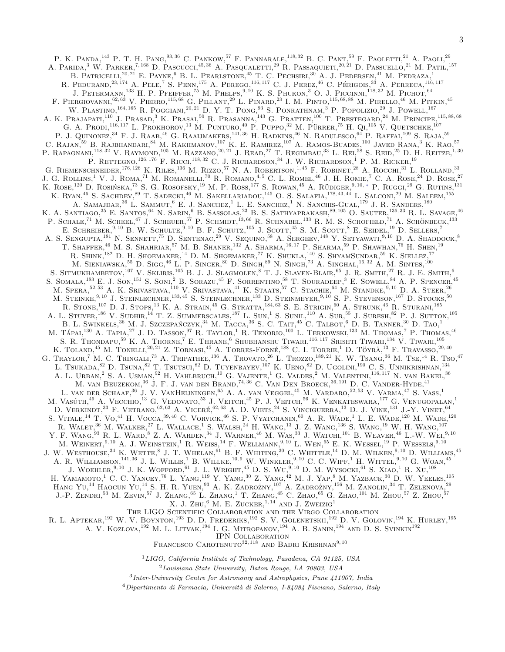P. K. PANDA,<sup>143</sup> P. T. H. PANG,<sup>93, 36</sup> C. PANKOW,<sup>57</sup> F. PANNARALE,<sup>118, 32</sup> B. C. PANT,<sup>59</sup> F. PAOLETTI,<sup>21</sup> A. PAOLI,<sup>29</sup> A. PARIDA,<sup>3</sup> W. PARKER,<sup>7, 168</sup> D. PASCUCCI,<sup>45, 36</sup> A. PASQUALETTI,<sup>29</sup> R. PASSAQUIETI,<sup>20, 21</sup> D. PASSUELLO,<sup>21</sup> M. PATIL,<sup>157</sup> B. PATRICELLI,<sup>20, 21</sup> E. PAYNE,<sup>6</sup> B. L. PEARLSTONE,<sup>45</sup> T. C. PECHSIRI,<sup>30</sup> A. J. PEDERSEN,<sup>41</sup> M. PEDRAZA,<sup>1</sup> R. PEDURAND,<sup>23, 174</sup> A. PELE,<sup>7</sup> S. PENN,<sup>175</sup> A. PEREGO,<sup>116,117</sup> C. J. PEREZ,<sup>46</sup> C. PÉRIGOIS.<sup>33</sup> A. PERRECA,<sup>116,117</sup> J. PETERMANN,<sup>133</sup> H. P. PFEIFFER,<sup>75</sup> M. PHELPS,<sup>9, 10</sup> K. S. PHUKON,<sup>3</sup> O. J. PICCINNI,<sup>118,32</sup> M. PICHOT,<sup>64</sup> F. PIERGIOVANNI,<sup>62, 63</sup> V. PIERRO,<sup>115, 68</sup> G. PILLANT,<sup>29</sup> L. PINARD,<sup>23</sup> I. M. PINTO,<sup>115, 68, 88</sup> M. PIRELLO,<sup>46</sup> M. PITKIN,<sup>45</sup> W. PLASTINO,<sup>164, 165</sup> R. POGGIANI,<sup>20, 21</sup> D. Y. T. PONG,<sup>93</sup> S. PONRATHNAM,<sup>3</sup> P. POPOLIZIO,<sup>29</sup> J. POWELL,<sup>167</sup> A. K. Prajapati,<sup>110</sup> J. Prasad,<sup>3</sup> K. Prasal<sup>50</sup> R. Prasanna,<sup>143</sup> G. Pratten,<sup>100</sup> T. Prestegard,<sup>24</sup> M. Principe,<sup>115,88,68</sup> G. A. Prodi, <sup>116, 117</sup> L. Prokhorov, <sup>13</sup> M. Punturo, <sup>40</sup> P. Puppo, <sup>32</sup> M. Pürrer, <sup>75</sup> H. Qi, <sup>105</sup> V. Quetschke, <sup>107</sup> P. J. QUINONEZ,<sup>34</sup> F. J. RAAB,<sup>46</sup> G. RAAIJMAKERS,<sup>141, 36</sup> H. RADKINS,<sup>46</sup> N. RADULESCO,<sup>64</sup> P. RAFFAI,<sup>109</sup> S. RAJA,<sup>59</sup> C. RAJAN,<sup>59</sup> B. RAJBHANDARI,<sup>84</sup> M. RAKHMANOV,<sup>107</sup> K. E. RAMIREZ,<sup>107</sup> A. RAMOS-BUADES,<sup>100</sup> JAVED RANA,<sup>3</sup> K. RAO,<sup>57</sup> P. RAPAGNANL<sup>118, 32</sup> V. RAYMOND,<sup>105</sup> M. RAZZANO,<sup>20, 21</sup> J. READ,<sup>27</sup> T. REGIMBAU,<sup>33</sup> L. REL<sup>58</sup> S. REID,<sup>25</sup> D. H. REITZE,<sup>1,30</sup> P. RETTEGNO,  $^{126,176}$  F. RICCI,  $^{118,32}$  C. J. RICHARDSON,  $^{34}$  J. W. RICHARDSON,  $^{1}$  P. M. RICKER,  $^{19}$ G. RIEMENSCHNEIDER,  $^{176, 126}$  K. RILES,  $^{136}$  M. RIZZO,  $^{57}$  N. A. ROBERTSON,  $^{1,45}$  F. ROBINET,  $^{28}$  A. ROCCHI,  $^{31}$  L. ROLLAND,  $^{33}$ J. G. ROLLINS,<sup>1</sup> V. J. ROMA,<sup>71</sup> M. ROMANELLI,<sup>70</sup> R. ROMANO,<sup>4,5</sup> C. L. ROMEL,<sup>46</sup> J. H. ROMIE,<sup>7</sup> C. A. ROSE,<sup>24</sup> D. ROSE,<sup>27</sup> K. ROSE,  $^{120}$  D. ROSIŃSKA,  $^{73}$  S. G. ROSOFSKY,  $^{19}$  M. P. ROSS,  $^{177}$  S. ROWAN,  $^{45}$  A. RÜDIGER,  $^{9,10, *}$  P. Ruggi,  $^{29}$  G. RUTINS,  $^{131}$ K. RYAN,<sup>46</sup> S. SACHDEV,<sup>89</sup> T. SADECKI,<sup>46</sup> M. SAKELLARIADOU,<sup>145</sup> O. S. SALAFIA,<sup>178, 43, 44</sup> L. SALCONI,<sup>29</sup> M. SALEEM,<sup>155</sup>  $A.$  SAMAJDAR,<sup>36</sup> L. SAMMUT,<sup>6</sup> E. J. SANCHEZ,<sup>1</sup> L. E. SANCHEZ,<sup>1</sup> N. SANCHIS-GUAL,<sup>179</sup> J. R. SANDERS,<sup>180</sup> K. A. SANTIAGO,<sup>35</sup> E. SANTOS,<sup>64</sup> N. SARIN,<sup>6</sup> B. SASSOLAS,<sup>23</sup> B. S. SATHYAPRAKASH,<sup>89, 105</sup> O. SAUTER,<sup>136, 33</sup> R. L. SAVAGE.<sup>46</sup> P. SCHALE,<sup>71</sup> M. SCHEEL,<sup>47</sup> J. SCHEUER,<sup>57</sup> P. SCHMIDT,<sup>13,66</sup> R. SCHNABEL,<sup>133</sup> R. M. S. SCHOFIELD,<sup>71</sup> A. SCHÖNBECK,<sup>133</sup> E. SCHREIBER, <sup>9, 10</sup> B. W. SCHULTE, <sup>9, 10</sup> B. F. SCHUTZ, <sup>105</sup> J. SCOTT, <sup>45</sup> S. M. SCOTT, <sup>8</sup> E. SEIDEL, <sup>19</sup> D. SELLERS,<sup>7</sup> A. S. SENGUPTA,<sup>181</sup> N. SENNETT,<sup>75</sup> D. SENTENAC,<sup>29</sup> V. SEQUINO,<sup>58</sup> A. SERGEEV,<sup>148</sup> Y. SETYAWATI,<sup>9,10</sup> D. A. SHADDOCK,<sup>8</sup> T. SHAFFER,<sup>46</sup> M. S. SHAHRIAR,<sup>57</sup> M. B. SHANER,<sup>132</sup> A. SHARMA,<sup>16,17</sup> P. SHARMA,<sup>59</sup> P. SHAWHAN,<sup>76</sup> H. SHEN,<sup>19</sup> R. SHINK,<sup>182</sup> D. H. Shoemaker,<sup>14</sup> D. M. Shoemaker,<sup>77</sup> K. Shukla,<sup>140</sup> S. ShyamSundar,<sup>59</sup> K. Siellez,<sup>77</sup> M. SIENIAWSKA,  $^{55}$  D. Sigg,  $^{46}$  L. P. Singer,  $^{80}$  D. Singh,  $^{89}$  N. Singh,  $^{73}$  A. Singhal,  $^{16, 32}$  A. M. Sintes,  $^{100}$ S. SITMUKHAMBETOV,<sup>107</sup> V. SKLIRIS,<sup>105</sup> B. J. J. SLAGMOLEN,<sup>8</sup> T. J. SLAVEN-BLAIR,<sup>65</sup> J. R. SMITH,<sup>27</sup> R. J. E. SMITH,<sup>6</sup> S. SOMALA,  $^{183}$  E. J. Son,  $^{151}$  S. Soni,  $^{2}$  B. Sorazu,  $^{45}$  F. Sorrentino,  $^{58}$  T. Souradeep,  $^{3}$  E. Sowell,  $^{84}$  A. P. Spencer,  $^{45}$ M. SPERA,<sup>52, 53</sup> A. K. SRIVASTAVA,<sup>110</sup> V. SRIVASTAVA,<sup>41</sup> K. STAATS,<sup>57</sup> C. STACHIE,<sup>64</sup> M. STANDKE,<sup>9,10</sup> D. A. STEER,<sup>26</sup> M. STEINKE,<sup>9, 10</sup> J. STEINLECHNER,<sup>133, 45</sup> S. STEINLECHNER,<sup>133</sup> D. STEINMEYER,<sup>9, 10</sup> S. P. STEVENSON,<sup>167</sup> D. STOCKS,<sup>50</sup> R. STONE,<sup>107</sup> D. J. STOPS,<sup>13</sup> K. A. STRAIN,<sup>45</sup> G. STRATTA,<sup>184,63</sup> S. E. STRIGIN,<sup>60</sup> A. STRUNK,<sup>46</sup> R. STURANI,<sup>185</sup> A. L. STUVER,<sup>186</sup> V. SUDHIR,<sup>14</sup> T. Z. SUMMERSCALES,<sup>187</sup> L. SUN,<sup>1</sup> S. SUNIL,<sup>110</sup> A. SUR,<sup>55</sup> J. SURESH,<sup>82</sup> P. J. SUTTON,<sup>105</sup> B. L. SWINKELS,  $36$  M. J. Szczepańczyk,  $34$  M. Tacca,  $36$  S. C. Tait,  $45$  C. Talbot,  $6$  D. B. Tanner,  $30$  D. Tao, 1 M. TÁPAL<sup>130</sup> A. Tapia,<sup>27</sup> J. D. Tasson,<sup>97</sup> R. Taylor,<sup>1</sup> R. Tenorio,<sup>100</sup> L. Terkowski,<sup>133</sup> M. Thomas,<sup>7</sup> P. Thomas,<sup>46</sup> S. R. Thondapu,<sup>59</sup> K. A. Thorne,<sup>7</sup> E. Thrane,<sup>6</sup> Shubhanshu Tiwari,<sup>116,117</sup> Srishti Tiwari,<sup>134</sup> V. Tiwari,<sup>105</sup> K. TOLAND,<sup>45</sup> M. TONELLI,<sup>20, 21</sup> Z. TORNASI,<sup>45</sup> A. TORRES-FORNÉ,<sup>188</sup> C. I. TORRIE,<sup>1</sup> D. TÖYRÄ,<sup>13</sup> F. TRAVASSO,<sup>29, 40</sup> G. TRAYLOR,<sup>45</sup> M. TONELLI,<sup>20,21</sup> Z. TORNASI,<sup>45</sup> A. TORRES-FORNÉ,<sup>188</sup> C. I. TORRIE,<sup>1</sup> D. TÖYRÄ,<sup>13</sup> F. TRAVASSO,<sup>29,40</sup> G. TRAYLOR,<sup>7</sup> M. C. TRINGALI,<sup>73</sup> A. TRIPATHEE,<sup>136</sup> A. TROVATO,<sup>26</sup> L. TROZZO,<sup>189,21</sup> K. W. TS L. Tsukada,<sup>82</sup> D. Tsuna,<sup>82</sup> T. Tsutsul,<sup>82</sup> D. Tuyenbayev,<sup>107</sup> K. Ueno,<sup>82</sup> D. Ugolini,<sup>190</sup> C. S. Unnikrishnan,<sup>134</sup> A. L. URBAN,<sup>2</sup> S. A. USMAN,<sup>92</sup> H. VAHLBRUCH,<sup>10</sup> G. VAJENTE,<sup>1</sup> G. VALDES,<sup>2</sup> M. VALENTINI,<sup>116, 117</sup> N. van Bakel,<sup>36</sup> M. van Beuzekom,<sup>36</sup> J. F. J. van den Brand,74, 36 C. Van Den Broeck,36, 191 D. C. Vander-Hyde,<sup>41</sup> L. VAN DER SCHAAF,<sup>36</sup> J. V. VANHEIJNINGEN,<sup>65</sup> A. A. VAN VEGGEL,<sup>45</sup> M. VARDARO,<sup>52,53</sup> V. VARMA,<sup>47</sup> S. VASS,<sup>1</sup> M. VASÚTH, <sup>49</sup> A. VECCHIO, <sup>13</sup> G. VEDOVATO, <sup>53</sup> J. VEITCH, <sup>45</sup> P. J. VEITCH, <sup>56</sup> K. VENKATESWARA, <sup>177</sup> G. VENUGOPALAN, <sup>1</sup> D. VERKINDT,<sup>33</sup> F. VETRANO,<sup>62, 63</sup> A. VICERÉ,<sup>62, 63</sup> A. D. VIETS,<sup>24</sup> S. VINCIGUERRA,<sup>13</sup> D. J. VINE,<sup>131</sup> J.-Y. VINET,<sup>64</sup> S. VITALE,<sup>14</sup> T. VO,<sup>41</sup> H. VOCCA,<sup>39,40</sup> C. VORVICK,<sup>46</sup> S. P. VYATCHANIN,<sup>60</sup> A. R. WADE,<sup>1</sup> L. E. WADE,<sup>120</sup> M. WADE,<sup>120</sup> R. WALET,<sup>36</sup> M. WALKER,<sup>27</sup> L. WALLACE,<sup>1</sup> S. WALSH,<sup>24</sup> H. WANG,<sup>13</sup> J. Z. WANG,<sup>136</sup> S. WANG,<sup>19</sup> W. H. WANG,<sup>107</sup> Y. F. WANG,  $^{93}$  R. L. WARD,  $^{8}$  Z. A. WARDEN,  $^{34}$  J. WARNER,  $^{46}$  M. WAS,  $^{33}$  J. WATCHI,  $^{101}$  B. WEAVER,  $^{46}$  L.-W. WEI,  $^{9,10}$ M. WEINERT, <sup>9, 10</sup> A. J. WEINSTEIN,<sup>1</sup> R. WEISS,<sup>14</sup> F. WELLMANN,<sup>9, 10</sup> L. WEN,<sup>65</sup> E. K. WESSEL,<sup>19</sup> P. WESSELS,<sup>9, 10</sup> J. W. WESTHOUSE.<sup>34</sup> K. WETTE,<sup>8</sup> J. T. WHELAN,<sup>61</sup> B. F. WHITING,<sup>30</sup> C. WHITTLE,<sup>14</sup> D. M. WILKEN,<sup>9,10</sup> D. WILLIAMS,<sup>45</sup> A. R. WILLIAMSON,<sup>141, 36</sup> J. L. WILLIS,<sup>1</sup> B. WILKE,<sup>10, 9</sup> W. WINKLER,<sup>9, 10</sup> C. C. WIPF,<sup>1</sup> H. WITTEL,<sup>9, 10</sup> G. WOAN,<sup>45</sup> J. WOEHLER, <sup>9, 10</sup> J. K. WOFFORD, <sup>61</sup> J. L. WRIGHT, <sup>45</sup> D. S. WU, <sup>9, 10</sup> D. M. WYSOCKI, <sup>61</sup> S. XIAO, <sup>1</sup> R. XU, <sup>108</sup> H. Yamamoto,<sup>1</sup> C. C. Yancey,<sup>76</sup> L. Yang,<sup>119</sup> Y. Yang,<sup>30</sup> Z. Yang,<sup>42</sup> M. J. Yap,<sup>8</sup> M. Yazback,<sup>30</sup> D. W. Yeeles,<sup>105</sup> HANG YU,<sup>14</sup> HAOCUN YU,<sup>14</sup> S. H. R. YUEN,<sup>93</sup> A. K. ZADROŻNY,<sup>107</sup> A. ZADROŻNY,<sup>156</sup> M. ZANOLIN,<sup>34</sup> T. ZELENOVA,<sup>29</sup>  $J.-P.$  Zendri,<sup>53</sup> M. Zevin,<sup>57</sup> J. Zhang,<sup>65</sup> L. Zhang,<sup>1</sup> T. Zhang,<sup>45</sup> C. Zhao,<sup>65</sup> G. Zhao,<sup>101</sup> M. Zhou,<sup>57</sup> Z. Zhou,<sup>57</sup> X. J. ZHU,  $^{6}$  M. E. ZUCKER,  $^{1,14}$  AND J. ZWEIZIG<sup>1</sup> The LIGO Scientific Collaboration and the Virgo Collaboration

R. L. Aptekar,<sup>192</sup> W. V. Boynton,<sup>193</sup> D. D. Frederiks,<sup>192</sup> S. V. Golenetskii,<sup>192</sup> D. V. Golovin,<sup>194</sup> K. Hurley,<sup>195</sup>

A. V. KOZLOVA,<sup>192</sup> M. L. LITVAK,<sup>194</sup> I. G. MITROFANOV,<sup>194</sup> A. B. SANIN,<sup>194</sup> AND D. S. SVINKIN<sup>192</sup>

IPN Collaboration

IPN COLLABORATION<br>FRANCESCO CAROTENUTO $^{32,118}$ AND BADRI KRISHNAN<br/>9, $^{10}$ 

 $1 LIGO, California Institute of Technology, Pasadena, CA 91125, USA$ 

<sup>2</sup>Louisiana State University, Baton Rouge, LA 70803, USA

3 Inter-University Centre for Astronomy and Astrophysics, Pune 411007, India

 $4$ Dipartimento di Farmacia, Università di Salerno, I-84084 Fisciano, Salerno, Italy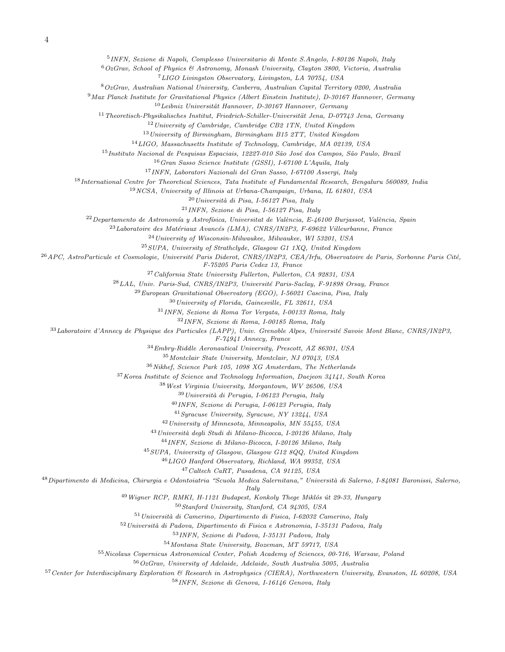INFN, Sezione di Napoli, Complesso Universitario di Monte S.Angelo, I-80126 Napoli, Italy

OzGrav, School of Physics & Astronomy, Monash University, Clayton 3800, Victoria, Australia

LIGO Livingston Observatory, Livingston, LA 70754, USA

OzGrav, Australian National University, Canberra, Australian Capital Territory 0200, Australia

Max Planck Institute for Gravitational Physics (Albert Einstein Institute), D-30167 Hannover, Germany

Leibniz Universität Hannover, D-30167 Hannover, Germany

 $11 Theoretisch-Phusikalisches Institut, Friedrich-Schiller-Universität Jena, D-07743 Jena, Germanu$ 

University of Cambridge, Cambridge CB2 1TN, United Kingdom

 $^{13}$ University of Birmingham, Birmingham B15 2TT, United Kingdom

LIGO, Massachusetts Institute of Technology, Cambridge, MA 02139, USA

<sup>15</sup> Instituto Nacional de Pesquisas Espaciais, 12227-010 São José dos Campos, São Paulo, Brazil

Gran Sasso Science Institute (GSSI), I-67100 L'Aquila, Italy

INFN, Laboratori Nazionali del Gran Sasso, I-67100 Assergi, Italy

International Centre for Theoretical Sciences, Tata Institute of Fundamental Research, Bengaluru 560089, India

NCSA, University of Illinois at Urbana-Champaign, Urbana, IL 61801, USA

Università di Pisa, I-56127 Pisa, Italy

INFN, Sezione di Pisa, I-56127 Pisa, Italy

 $^{22}$ Departamento de Astronomía y Astrofísica, Universitat de València, E-46100 Burjassot, València, Spain

 $^{23}$ Laboratoire des Matériaux Avancés (LMA), CNRS/IN2P3, F-69622 Villeurbanne, France

University of Wisconsin-Milwaukee, Milwaukee, WI 53201, USA

 $^{25}SUPA$ , University of Strathclyde, Glasgow G1 1XQ, United Kingdom

 $^{26}$ APC, AstroParticule et Cosmologie, Université Paris Diderot, CNRS/IN2P3, CEA/Irfu, Observatoire de Paris, Sorbonne Paris Cité,

F-75205 Paris Cedex 13, France

California State University Fullerton, Fullerton, CA 92831, USA

 $^{28}LAL$ , Univ. Paris-Sud, CNRS/IN2P3, Université Paris-Saclay, F-91898 Orsay, France

European Gravitational Observatory (EGO), I-56021 Cascina, Pisa, Italy

University of Florida, Gainesville, FL 32611, USA

INFN, Sezione di Roma Tor Vergata, I-00133 Roma, Italy

INFN, Sezione di Roma, I-00185 Roma, Italy

Laboratoire d'Annecy de Physique des Particules (LAPP), Univ. Grenoble Alpes, Université Savoie Mont Blanc, CNRS/IN2P3,

F-74941 Annecy, France

Embry-Riddle Aeronautical University, Prescott, AZ 86301, USA

Montclair State University, Montclair, NJ 07043, USA

Nikhef, Science Park 105, 1098 XG Amsterdam, The Netherlands

Korea Institute of Science and Technology Information, Daejeon 34141, South Korea

West Virginia University, Morgantown, WV 26506, USA

Universit`a di Perugia, I-06123 Perugia, Italy

INFN, Sezione di Perugia, I-06123 Perugia, Italy

Syracuse University, Syracuse, NY 13244, USA

University of Minnesota, Minneapolis, MN 55455, USA

<sup>43</sup> Università degli Studi di Milano-Bicocca, I-20126 Milano, Italy

INFN, Sezione di Milano-Bicocca, I-20126 Milano, Italy

SUPA, University of Glasgow, Glasgow G12 8QQ, United Kingdom

LIGO Hanford Observatory, Richland, WA 99352, USA

Caltech CaRT, Pasadena, CA 91125, USA

<sup>48</sup> Dipartimento di Medicina, Chirurgia e Odontoiatria "Scuola Medica Salernitana," Università di Salerno, I-84081 Baronissi, Salerno,

**Italy** 

Wigner RCP, RMKI, H-1121 Budapest, Konkoly Thege Miklós út 29-33, Hungary

Stanford University, Stanford, CA 94305, USA

<sup>51</sup> Università di Camerino, Dipartimento di Fisica, I-62032 Camerino, Italy

Universit`a di Padova, Dipartimento di Fisica e Astronomia, I-35131 Padova, Italy

INFN, Sezione di Padova, I-35131 Padova, Italy

Montana State University, Bozeman, MT 59717, USA

Nicolaus Copernicus Astronomical Center, Polish Academy of Sciences, 00-716, Warsaw, Poland

OzGrav, University of Adelaide, Adelaide, South Australia 5005, Australia

Center for Interdisciplinary Exploration & Research in Astrophysics (CIERA), Northwestern University, Evanston, IL 60208, USA

INFN, Sezione di Genova, I-16146 Genova, Italy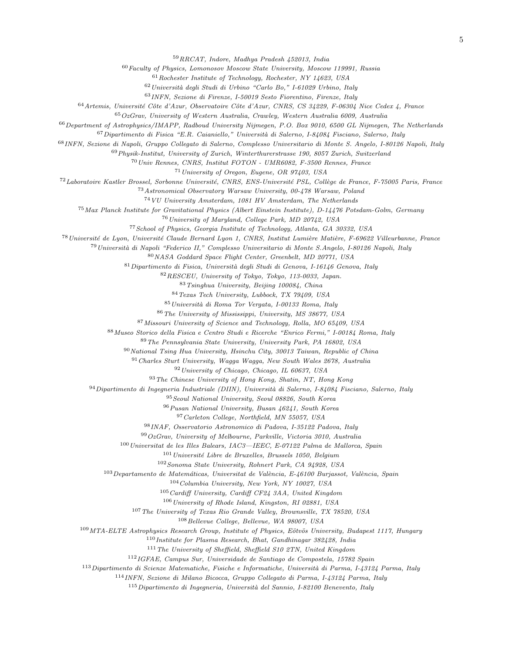RRCAT, Indore, Madhya Pradesh 452013, India

Faculty of Physics, Lomonosov Moscow State University, Moscow 119991, Russia

Rochester Institute of Technology, Rochester, NY 14623, USA

Università degli Studi di Urbino "Carlo Bo," I-61029 Urbino, Italy

INFN, Sezione di Firenze, I-50019 Sesto Fiorentino, Firenze, Italy

Artemis, Université Côte d'Azur, Observatoire Côte d'Azur, CNRS, CS 34229, F-06304 Nice Cedex 4, France

 $65OzGr$ av, University of Western Australia, Crawley, Western Australia 6009, Australia

<sup>66</sup> Department of Astrophysics/IMAPP, Radboud University Nijmegen, P.O. Box 9010, 6500 GL Nijmegen, The Netherlands

Dipartimento di Fisica "E.R. Caianiello," Università di Salerno, I-84084 Fisciano, Salerno, Italy

INFN, Sezione di Napoli, Gruppo Collegato di Salerno, Complesso Universitario di Monte S. Angelo, I-80126 Napoli, Italy

Physik-Institut, University of Zurich, Winterthurerstrasse 190, 8057 Zurich, Switzerland

Univ Rennes, CNRS, Institut FOTON - UMR6082, F-3500 Rennes, France

University of Oregon, Eugene, OR 97403, USA

<sup>72</sup>Laboratoire Kastler Brossel, Sorbonne Université, CNRS, ENS-Université PSL, Collège de France, F-75005 Paris, France

Astronomical Observatory Warsaw University, 00-478 Warsaw, Poland

VU University Amsterdam, 1081 HV Amsterdam, The Netherlands

Max Planck Institute for Gravitational Physics (Albert Einstein Institute), D-14476 Potsdam-Golm, Germany

University of Maryland, College Park, MD 20742, USA

School of Physics, Georgia Institute of Technology, Atlanta, GA 30332, USA

<sup>78</sup> Université de Lyon, Université Claude Bernard Lyon 1, CNRS, Institut Lumière Matière, F-69622 Villeurbanne, France

<sup>79</sup> Università di Napoli "Federico II," Complesso Universitario di Monte S.Angelo, I-80126 Napoli, Italy

NASA Goddard Space Flight Center, Greenbelt, MD 20771, USA

Dipartimento di Fisica, Università degli Studi di Genova, I-16146 Genova, Italy

RESCEU, University of Tokyo, Tokyo, 113-0033, Japan.

Tsinghua University, Beijing 100084, China

Texas Tech University, Lubbock, TX 79409, USA

85 Università di Roma Tor Vergata, I-00133 Roma, Italy

The University of Mississippi, University, MS 38677, USA

Missouri University of Science and Technology, Rolla, MO 65409, USA

Museo Storico della Fisica e Centro Studi e Ricerche "Enrico Fermi," I-00184 Roma, Italy

The Pennsylvania State University, University Park, PA 16802, USA

National Tsing Hua University, Hsinchu City, 30013 Taiwan, Republic of China

Charles Sturt University, Wagga Wagga, New South Wales 2678, Australia

University of Chicago, Chicago, IL 60637, USA

The Chinese University of Hong Kong, Shatin, NT, Hong Kong

Dipartimento di Ingegneria Industriale (DIIN), Università di Salerno, I-84084 Fisciano, Salerno, Italy

Seoul National University, Seoul 08826, South Korea

Pusan National University, Busan 46241, South Korea

Carleton College, Northfield, MN 55057, USA

INAF, Osservatorio Astronomico di Padova, I-35122 Padova, Italy

 $99OzGrav$ , University of Melbourne, Parkville, Victoria 3010, Australia

Universitat de les Illes Balears, IAC3-IEEC, E-07122 Palma de Mallorca, Spain

Université Libre de Bruxelles, Brussels 1050, Belgium

Sonoma State University, Rohnert Park, CA 94928, USA

Departamento de Matemáticas, Universitat de València, E-46100 Burjassot, València, Spain

Columbia University, New York, NY 10027, USA

Cardiff University, Cardiff CF24 3AA, United Kingdom

University of Rhode Island, Kingston, RI 02881, USA

The University of Texas Rio Grande Valley, Brownsville, TX 78520, USA

Bellevue College, Bellevue, WA 98007, USA

109 MTA-ELTE Astrophysics Research Group, Institute of Physics, Eötvös University, Budapest 1117, Hungary

Institute for Plasma Research, Bhat, Gandhinagar 382428, India

The University of Sheffield, Sheffield S10 2TN, United Kingdom

IGFAE, Campus Sur, Universidade de Santiago de Compostela, 15782 Spain

<sup>113</sup>Dipartimento di Scienze Matematiche, Fisiche e Informatiche, Università di Parma, I-43124 Parma, Italy

INFN, Sezione di Milano Bicocca, Gruppo Collegato di Parma, I-43124 Parma, Italy

Dipartimento di Ingegneria, Università del Sannio, I-82100 Benevento, Italy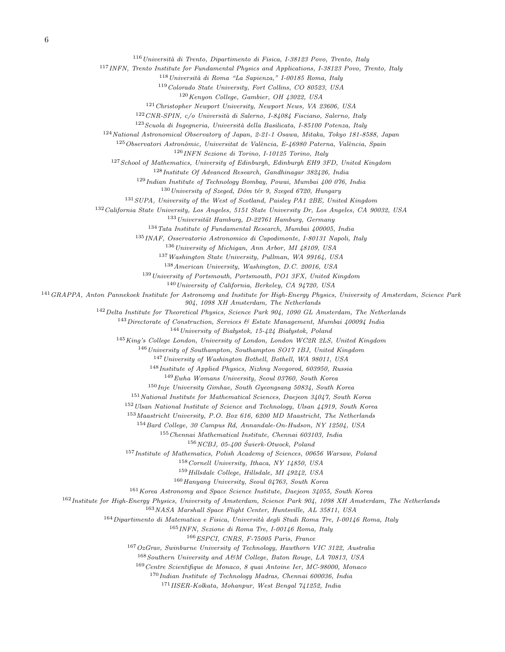Università di Trento, Dipartimento di Fisica, I-38123 Povo, Trento, Italy

INFN, Trento Institute for Fundamental Physics and Applications, I-38123 Povo, Trento, Italy

Università di Roma "La Sapienza," I-00185 Roma, Italy

Colorado State University, Fort Collins, CO 80523, USA

Kenyon College, Gambier, OH 43022, USA

Christopher Newport University, Newport News, VA 23606, USA

CNR-SPIN, c/o Università di Salerno, I-84084 Fisciano, Salerno, Italy

Scuola di Ingegneria, Università della Basilicata, I-85100 Potenza, Italy

National Astronomical Observatory of Japan, 2-21-1 Osawa, Mitaka, Tokyo 181-8588, Japan

Observatori Astronòmic, Universitat de València, E-46980 Paterna, València, Spain

INFN Sezione di Torino, I-10125 Torino, Italy

<sup>127</sup> School of Mathematics, University of Edinburgh, Edinburgh EH9 3FD, United Kingdom

Institute Of Advanced Research, Gandhinagar 382426, India

Indian Institute of Technology Bombay, Powai, Mumbai 400 076, India

University of Szeged, Dóm tér 9, Szeged 6720, Hungary

SUPA, University of the West of Scotland, Paisley PA1 2BE, United Kingdom

California State University, Los Angeles, 5151 State University Dr, Los Angeles, CA 90032, USA

Universität Hamburg, D-22761 Hamburg, Germany

Tata Institute of Fundamental Research, Mumbai 400005, India

INAF, Osservatorio Astronomico di Capodimonte, I-80131 Napoli, Italy

University of Michigan, Ann Arbor, MI 48109, USA

Washington State University, Pullman, WA 99164, USA

American University, Washington, D.C. 20016, USA

University of Portsmouth, Portsmouth, PO1 3FX, United Kingdom

University of California, Berkeley, CA 94720, USA

GRAPPA, Anton Pannekoek Institute for Astronomy and Institute for High-Energy Physics, University of Amsterdam, Science Park

904, 1098 XH Amsterdam, The Netherlands

Delta Institute for Theoretical Physics, Science Park 904, 1090 GL Amsterdam, The Netherlands

Directorate of Construction, Services & Estate Management, Mumbai 400094 India

University of Białystok, 15-424 Białystok, Poland

King's College London, University of London, London WC2R 2LS, United Kingdom

<sup>146</sup> University of Southampton, Southampton SO17 1BJ, United Kingdom

University of Washington Bothell, Bothell, WA 98011, USA

Institute of Applied Physics, Nizhny Novgorod, 603950, Russia

Ewha Womans University, Seoul 03760, South Korea

Inje University Gimhae, South Gyeongsang 50834, South Korea

 $^{151}\space National$  Institute for Mathematical Sciences, Daejeon 34047, South Korea

Ulsan National Institute of Science and Technology, Ulsan 44919, South Korea

Maastricht University, P.O. Box 616, 6200 MD Maastricht, The Netherlands

Bard College, 30 Campus Rd, Annandale-On-Hudson, NY 12504, USA

Chennai Mathematical Institute, Chennai 603103, India

 $156 NCBJ$ , 05-400 Świerk-Otwock, Poland

Institute of Mathematics, Polish Academy of Sciences, 00656 Warsaw, Poland

Cornell University, Ithaca, NY 14850, USA

Hillsdale College, Hillsdale, MI 49242, USA

Hanyang University, Seoul 04763, South Korea

Korea Astronomy and Space Science Institute, Daejeon 34055, South Korea

Institute for High-Energy Physics, University of Amsterdam, Science Park 904, 1098 XH Amsterdam, The Netherlands

NASA Marshall Space Flight Center, Huntsville, AL 35811, USA

Dipartimento di Matematica e Fisica, Università degli Studi Roma Tre, I-00146 Roma, Italy

INFN, Sezione di Roma Tre, I-00146 Roma, Italy

ESPCI, CNRS, F-75005 Paris, France

OzGrav, Swinburne University of Technology, Hawthorn VIC 3122, Australia

Southern University and A&M College, Baton Rouge, LA 70813, USA

Centre Scientifique de Monaco, 8 quai Antoine Ier, MC-98000, Monaco

Indian Institute of Technology Madras, Chennai 600036, India

IISER-Kolkata, Mohanpur, West Bengal 741252, India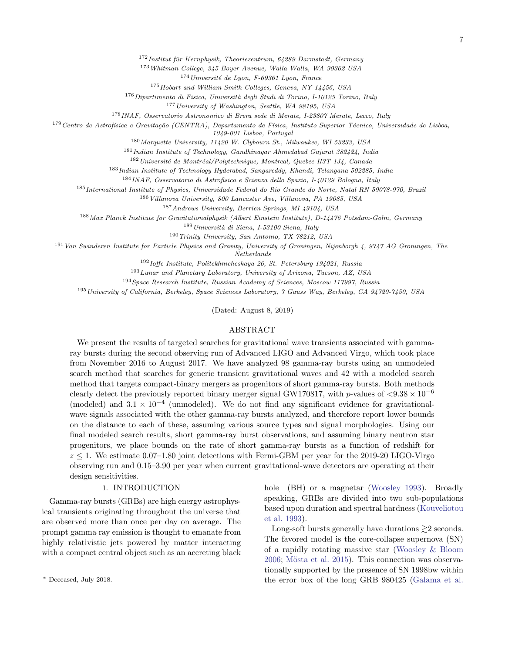$172$ Institut für Kernphysik, Theoriezentrum, 64289 Darmstadt, Germany

<sup>173</sup>Whitman College, 345 Boyer Avenue, Walla Walla, WA 99362 USA

 $174$ Université de Lyon, F-69361 Lyon, France

<sup>175</sup>Hobart and William Smith Colleges, Geneva, NY 14456, USA

<sup>176</sup>Dipartimento di Fisica, Università degli Studi di Torino, I-10125 Torino, Italy

<sup>177</sup>University of Washington, Seattle, WA 98195, USA

<sup>178</sup>INAF, Osservatorio Astronomico di Brera sede di Merate, I-23807 Merate, Lecco, Italy

 $1^{79}$ Centro de Astrofísica e Gravitação (CENTRA), Departamento de Física, Instituto Superior Técnico, Universidade de Lisboa,

1049-001 Lisboa, Portugal

<sup>180</sup>Marquette University, 11420 W. Clybourn St., Milwaukee, WI 53233, USA

<sup>181</sup>Indian Institute of Technology, Gandhinagar Ahmedabad Gujarat 382424, India

 $182$ Université de Montréal/Polytechnique, Montreal, Quebec H3T 1J4, Canada

<sup>183</sup>Indian Institute of Technology Hyderabad, Sangareddy, Khandi, Telangana 502285, India

<sup>184</sup>INAF, Osservatorio di Astrofisica e Scienza dello Spazio, I-40129 Bologna, Italy

<sup>185</sup>International Institute of Physics, Universidade Federal do Rio Grande do Norte, Natal RN 59078-970, Brazil

<sup>186</sup>Villanova University, 800 Lancaster Ave, Villanova, PA 19085, USA

<sup>187</sup>Andrews University, Berrien Springs, MI 49104, USA

<sup>188</sup>Max Planck Institute for Gravitationalphysik (Albert Einstein Institute), D-14476 Potsdam-Golm, Germany

<sup>189</sup>Universit`a di Siena, I-53100 Siena, Italy

<sup>190</sup>Trinity University, San Antonio, TX 78212, USA

<sup>191</sup>Van Swinderen Institute for Particle Physics and Gravity, University of Groningen, Nijenborgh 4, 9747 AG Groningen, The

Netherlands

<sup>192</sup>Ioffe Institute, Politekhnicheskaya 26, St. Petersburg 194021, Russia

<sup>193</sup>Lunar and Planetary Laboratory, University of Arizona, Tucson, AZ, USA

<sup>194</sup>Space Research Institute, Russian Academy of Sciences, Moscow 117997, Russia

<sup>195</sup>University of California, Berkeley, Space Sciences Laboratory, 7 Gauss Way, Berkeley, CA 94720-7450, USA

(Dated: August 8, 2019)

### ABSTRACT

We present the results of targeted searches for gravitational wave transients associated with gammaray bursts during the second observing run of Advanced LIGO and Advanced Virgo, which took place from November 2016 to August 2017. We have analyzed 98 gamma-ray bursts using an unmodeled search method that searches for generic transient gravitational waves and 42 with a modeled search method that targets compact-binary mergers as progenitors of short gamma-ray bursts. Both methods clearly detect the previously reported binary merger signal GW170817, with p-values of  $\langle 9.38 \times 10^{-6}$ (modeled) and  $3.1 \times 10^{-4}$  (unmodeled). We do not find any significant evidence for gravitationalwave signals associated with the other gamma-ray bursts analyzed, and therefore report lower bounds on the distance to each of these, assuming various source types and signal morphologies. Using our final modeled search results, short gamma-ray burst observations, and assuming binary neutron star progenitors, we place bounds on the rate of short gamma-ray bursts as a function of redshift for  $z \leq 1$ . We estimate 0.07–1.80 joint detections with Fermi-GBM per year for the 2019-20 LIGO-Virgo observing run and 0.15–3.90 per year when current gravitational-wave detectors are operating at their design sensitivities.

# 1. INTRODUCTION

Gamma-ray bursts (GRBs) are high energy astrophysical transients originating throughout the universe that are observed more than once per day on average. The prompt gamma ray emission is thought to emanate from highly relativistic jets powered by matter interacting with a compact central object such as an accreting black

hole (BH) or a magnetar [\(Woosley](#page-21-0) [1993\)](#page-21-0). Broadly speaking, GRBs are divided into two sub-populations based upon duration and spectral hardness [\(Kouveliotou](#page-20-0) [et al.](#page-20-0) [1993\)](#page-20-0).

Long-soft bursts generally have durations  $\gtrsim$  2 seconds. The favored model is the core-collapse supernova (SN) of a rapidly rotating massive star [\(Woosley & Bloom](#page-21-1)  $2006$ ; Mösta et al.  $2015$ ). This connection was observationally supported by the presence of SN 1998bw within the error box of the long GRB 980425 [\(Galama et al.](#page-20-1)

<span id="page-6-0"></span><sup>∗</sup> Deceased, July 2018.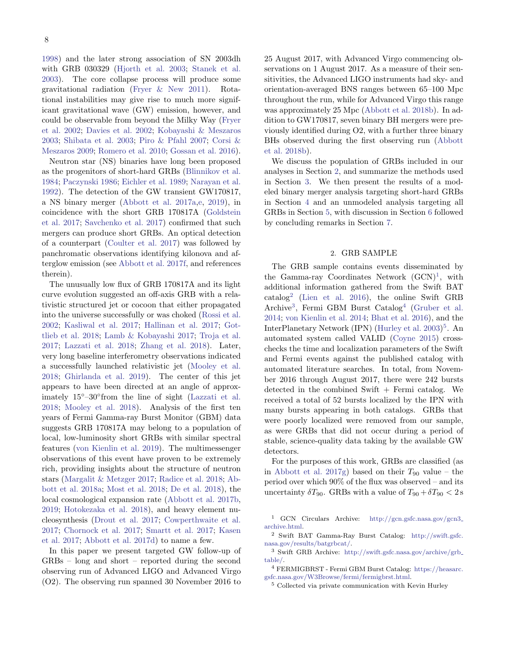[1998\)](#page-20-1) and the later strong association of SN 2003dh with GRB 030329 [\(Hjorth et al.](#page-20-2) [2003;](#page-20-2) [Stanek et al.](#page-21-3) [2003\)](#page-21-3). The core collapse process will produce some gravitational radiation [\(Fryer & New](#page-20-3) [2011\)](#page-20-3). Rotational instabilities may give rise to much more significant gravitational wave (GW) emission, however, and could be observable from beyond the Milky Way [\(Fryer](#page-20-4) [et al.](#page-20-4) [2002;](#page-20-4) [Davies et al.](#page-20-5) [2002;](#page-20-5) [Kobayashi & Meszaros](#page-20-6) [2003;](#page-20-6) [Shibata et al.](#page-21-4) [2003;](#page-21-4) [Piro & Pfahl](#page-21-5) [2007;](#page-21-5) [Corsi &](#page-20-7) [Meszaros](#page-20-7) [2009;](#page-20-7) [Romero et al.](#page-21-6) [2010;](#page-21-6) [Gossan et al.](#page-20-8) [2016\)](#page-20-8).

Neutron star (NS) binaries have long been proposed as the progenitors of short-hard GRBs [\(Blinnikov et al.](#page-20-9) [1984;](#page-20-9) [Paczynski](#page-21-7) [1986;](#page-21-7) [Eichler et al.](#page-20-10) [1989;](#page-20-10) [Narayan et al.](#page-21-8) [1992\)](#page-21-8). The detection of the GW transient GW170817, a NS binary merger [\(Abbott et al.](#page-20-11) [2017a,](#page-20-11)[e,](#page-20-12) [2019\)](#page-20-13), in coincidence with the short GRB 170817A [\(Goldstein](#page-20-14) [et al.](#page-20-14) [2017;](#page-20-14) [Savchenko et al.](#page-21-9) [2017\)](#page-21-9) confirmed that such mergers can produce short GRBs. An optical detection of a counterpart [\(Coulter et al.](#page-20-15) [2017\)](#page-20-15) was followed by panchromatic observations identifying kilonova and afterglow emission (see [Abbott et al.](#page-20-16) [2017f,](#page-20-16) and references therein).

The unusually low flux of GRB 170817A and its light curve evolution suggested an off-axis GRB with a relativistic structured jet or cocoon that either propagated into the universe successfully or was choked [\(Rossi et al.](#page-21-10) [2002;](#page-21-10) [Kasliwal et al.](#page-20-17) [2017;](#page-20-17) [Hallinan et al.](#page-20-18) [2017;](#page-20-18) [Got](#page-20-19)[tlieb et al.](#page-20-19) [2018;](#page-20-19) [Lamb & Kobayashi](#page-20-20) [2017;](#page-20-20) [Troja et al.](#page-21-11) [2017;](#page-21-11) [Lazzati et al.](#page-20-21) [2018;](#page-20-21) [Zhang et al.](#page-21-12) [2018\)](#page-21-12). Later, very long baseline interferometry observations indicated a successfully launched relativistic jet [\(Mooley et al.](#page-21-13) [2018;](#page-21-13) [Ghirlanda et al.](#page-20-22) [2019\)](#page-20-22). The center of this jet appears to have been directed at an angle of approximately 15◦–30◦ from the line of sight [\(Lazzati et al.](#page-20-21) [2018;](#page-20-21) [Mooley et al.](#page-21-13) [2018\)](#page-21-13). Analysis of the first ten years of Fermi Gamma-ray Burst Monitor (GBM) data suggests GRB 170817A may belong to a population of local, low-luminosity short GRBs with similar spectral features [\(von Kienlin et al.](#page-21-14) [2019\)](#page-21-14). The multimessenger observations of this event have proven to be extremely rich, providing insights about the structure of neutron stars [\(Margalit & Metzger](#page-21-15) [2017;](#page-21-15) [Radice et al.](#page-21-16) [2018;](#page-21-16) [Ab](#page-20-23)[bott et al.](#page-20-23) [2018a;](#page-20-23) [Most et al.](#page-21-17) [2018;](#page-21-17) [De et al.](#page-20-24) [2018\)](#page-20-24), the local cosmological expansion rate [\(Abbott et al.](#page-20-25) [2017b,](#page-20-25) [2019;](#page-20-13) [Hotokezaka et al.](#page-20-26) [2018\)](#page-20-26), and heavy element nucleosynthesis [\(Drout et al.](#page-20-27) [2017;](#page-20-27) [Cowperthwaite et al.](#page-20-28) [2017;](#page-20-28) [Chornock et al.](#page-20-29) [2017;](#page-20-29) [Smartt et al.](#page-21-18) [2017;](#page-21-18) [Kasen](#page-20-30) [et al.](#page-20-30) [2017;](#page-20-30) [Abbott et al.](#page-20-31) [2017d\)](#page-20-31) to name a few.

In this paper we present targeted GW follow-up of GRBs – long and short – reported during the second observing run of Advanced LIGO and Advanced Virgo (O2). The observing run spanned 30 November 2016 to

25 August 2017, with Advanced Virgo commencing observations on 1 August 2017. As a measure of their sensitivities, the Advanced LIGO instruments had sky- and orientation-averaged BNS ranges between 65–100 Mpc throughout the run, while for Advanced Virgo this range was approximately 25 Mpc [\(Abbott et al.](#page-20-32) [2018b\)](#page-20-32). In addition to GW170817, seven binary BH mergers were previously identified during O2, with a further three binary BHs observed during the first observing run [\(Abbott](#page-20-32) [et al.](#page-20-32) [2018b\)](#page-20-32).

We discuss the population of GRBs included in our analyses in Section [2,](#page-7-0) and summarize the methods used in Section [3.](#page-8-0) We then present the results of a modeled binary merger analysis targeting short-hard GRBs in Section [4](#page-9-0) and an unmodeled analysis targeting all GRBs in Section [5,](#page-10-0) with discussion in Section [6](#page-11-0) followed by concluding remarks in Section [7.](#page-12-0)

## 2. GRB SAMPLE

<span id="page-7-0"></span>The GRB sample contains events disseminated by the Gamma-ray Coordinates Network  $(GCN)^1$  $(GCN)^1$ , with additional information gathered from the Swift BAT catalog[2](#page-7-2) [\(Lien et al.](#page-20-33) [2016\)](#page-20-33), the online Swift GRB Archive<sup>[3](#page-7-3)</sup>, Fermi GBM Burst Catalog<sup>[4](#page-7-4)</sup> [\(Gruber et al.](#page-20-34) [2014;](#page-20-34) [von Kienlin et al.](#page-21-19) [2014;](#page-21-19) [Bhat et al.](#page-20-35) [2016\)](#page-20-35), and the InterPlanetary Network (IPN) [\(Hurley et al.](#page-20-36) [2003\)](#page-20-36) [5](#page-7-5) . An automated system called VALID [\(Coyne](#page-20-37) [2015\)](#page-20-37) crosschecks the time and localization parameters of the Swift and Fermi events against the published catalog with automated literature searches. In total, from November 2016 through August 2017, there were 242 bursts detected in the combined Swift  $+$  Fermi catalog. We received a total of 52 bursts localized by the IPN with many bursts appearing in both catalogs. GRBs that were poorly localized were removed from our sample, as were GRBs that did not occur during a period of stable, science-quality data taking by the available GW detectors.

For the purposes of this work, GRBs are classified (as in [Abbott et al.](#page-20-38) [2017g\)](#page-20-38) based on their  $T_{90}$  value – the period over which 90% of the flux was observed – and its uncertainty  $\delta T_{90}$ . GRBs with a value of  $T_{90} + \delta T_{90} < 2$  s

<span id="page-7-5"></span><sup>5</sup> Collected via private communication with Kevin Hurley

<span id="page-7-1"></span><sup>1</sup> GCN Circulars Archive: [http://gcn.gsfc.nasa.gov/gcn3](http://gcn.gsfc.nasa.gov/gcn3_archive.html) [archive.html.](http://gcn.gsfc.nasa.gov/gcn3_archive.html)

<span id="page-7-2"></span><sup>2</sup> Swift BAT Gamma-Ray Burst Catalog: [http://swift.gsfc.](http://swift.gsfc.nasa.gov/results/batgrbcat/) [nasa.gov/results/batgrbcat/.](http://swift.gsfc.nasa.gov/results/batgrbcat/)

<span id="page-7-3"></span><sup>3</sup> Swift GRB Archive: [http://swift.gsfc.nasa.gov/archive/grb](http://swift.gsfc.nasa.gov/archive/grb_table/) [table/.](http://swift.gsfc.nasa.gov/archive/grb_table/)

<span id="page-7-4"></span><sup>4</sup> FERMIGBRST - Fermi GBM Burst Catalog: [https://heasarc.](https://heasarc.gsfc.nasa.gov/W3Browse/fermi/fermigbrst.html) [gsfc.nasa.gov/W3Browse/fermi/fermigbrst.html.](https://heasarc.gsfc.nasa.gov/W3Browse/fermi/fermigbrst.html)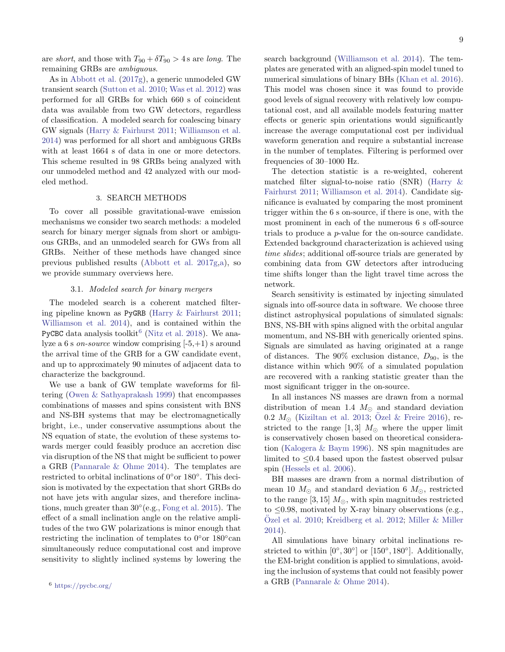are short, and those with  $T_{90} + \delta T_{90} > 4$  s are long. The remaining GRBs are ambiguous.

As in [Abbott et al.](#page-20-38) [\(2017g\)](#page-20-38), a generic unmodeled GW transient search [\(Sutton et al.](#page-21-20) [2010;](#page-21-20) [Was et al.](#page-21-21) [2012\)](#page-21-21) was performed for all GRBs for which 660 s of coincident data was available from two GW detectors, regardless of classification. A modeled search for coalescing binary GW signals [\(Harry & Fairhurst](#page-20-39) [2011;](#page-20-39) [Williamson et al.](#page-21-22) [2014\)](#page-21-22) was performed for all short and ambiguous GRBs with at least 1664 s of data in one or more detectors. This scheme resulted in 98 GRBs being analyzed with our unmodeled method and 42 analyzed with our modeled method.

## 3. SEARCH METHODS

<span id="page-8-0"></span>To cover all possible gravitational-wave emission mechanisms we consider two search methods: a modeled search for binary merger signals from short or ambiguous GRBs, and an unmodeled search for GWs from all GRBs. Neither of these methods have changed since previous published results [\(Abbott et al.](#page-20-38) [2017g,](#page-20-38)[a\)](#page-20-11), so we provide summary overviews here.

## 3.1. Modeled search for binary mergers

The modeled search is a coherent matched filtering pipeline known as PyGRB [\(Harry & Fairhurst](#page-20-39) [2011;](#page-20-39) [Williamson et al.](#page-21-22) [2014\)](#page-21-22), and is contained within the PyCBC data analysis toolkit<sup>[6](#page-8-1)</sup> [\(Nitz et al.](#page-21-23) [2018\)](#page-21-23). We analyze a 6 s *on-source* window comprising  $[-5, +1)$  s around the arrival time of the GRB for a GW candidate event, and up to approximately 90 minutes of adjacent data to characterize the background.

<span id="page-8-1"></span>We use a bank of GW template waveforms for filtering [\(Owen & Sathyaprakash](#page-21-24) [1999\)](#page-21-24) that encompasses combinations of masses and spins consistent with BNS and NS-BH systems that may be electromagnetically bright, i.e., under conservative assumptions about the NS equation of state, the evolution of these systems towards merger could feasibly produce an accretion disc via disruption of the NS that might be sufficient to power a GRB [\(Pannarale & Ohme](#page-21-25) [2014\)](#page-21-25). The templates are restricted to orbital inclinations of 0°or 180°. This decision is motivated by the expectation that short GRBs do not have jets with angular sizes, and therefore inclinations, much greater than 30◦ (e.g., [Fong et al.](#page-20-40) [2015\)](#page-20-40). The effect of a small inclination angle on the relative amplitudes of the two GW polarizations is minor enough that restricting the inclination of templates to  $0^{\circ}$ or 180 $^{\circ}$ can simultaneously reduce computational cost and improve sensitivity to slightly inclined systems by lowering the

search background [\(Williamson et al.](#page-21-22) [2014\)](#page-21-22). The templates are generated with an aligned-spin model tuned to numerical simulations of binary BHs [\(Khan et al.](#page-20-41) [2016\)](#page-20-41). This model was chosen since it was found to provide good levels of signal recovery with relatively low computational cost, and all available models featuring matter effects or generic spin orientations would significantly increase the average computational cost per individual waveform generation and require a substantial increase in the number of templates. Filtering is performed over frequencies of 30–1000 Hz.

The detection statistic is a re-weighted, coherent matched filter signal-to-noise ratio (SNR) [\(Harry &](#page-20-39) [Fairhurst](#page-20-39) [2011;](#page-20-39) [Williamson et al.](#page-21-22) [2014\)](#page-21-22). Candidate significance is evaluated by comparing the most prominent trigger within the 6 s on-source, if there is one, with the most prominent in each of the numerous 6 s off-source trials to produce a p-value for the on-source candidate. Extended background characterization is achieved using time slides; additional off-source trials are generated by combining data from GW detectors after introducing time shifts longer than the light travel time across the network.

Search sensitivity is estimated by injecting simulated signals into off-source data in software. We choose three distinct astrophysical populations of simulated signals: BNS, NS-BH with spins aligned with the orbital angular momentum, and NS-BH with generically oriented spins. Signals are simulated as having originated at a range of distances. The  $90\%$  exclusion distance,  $D_{90}$ , is the distance within which 90% of a simulated population are recovered with a ranking statistic greater than the most significant trigger in the on-source.

In all instances NS masses are drawn from a normal distribution of mean 1.4  $M_{\odot}$  and standard deviation  $0.2~M_{\odot}$  [\(Kiziltan et al.](#page-20-42) [2013;](#page-20-42) [Ozel & Freire](#page-21-26) [2016\)](#page-21-26), restricted to the range  $[1,3]$   $M_{\odot}$  where the upper limit is conservatively chosen based on theoretical consideration [\(Kalogera & Baym](#page-20-43) [1996\)](#page-20-43). NS spin magnitudes are limited to ≤0.4 based upon the fastest observed pulsar spin [\(Hessels et al.](#page-20-44) [2006\)](#page-20-44).

BH masses are drawn from a normal distribution of mean 10  $M_{\odot}$  and standard deviation 6  $M_{\odot}$ , restricted to the range [3, 15]  $M_{\odot}$ , with spin magnitudes restricted to  $\leq 0.98$ , motivated by X-ray binary observations (e.g., Özel et al. [2010;](#page-21-27) [Kreidberg et al.](#page-20-45) [2012;](#page-20-45) [Miller & Miller](#page-21-28) [2014\)](#page-21-28).

All simulations have binary orbital inclinations restricted to within  $[0^{\circ}, 30^{\circ}]$  or  $[150^{\circ}, 180^{\circ}]$ . Additionally, the EM-bright condition is applied to simulations, avoiding the inclusion of systems that could not feasibly power a GRB [\(Pannarale & Ohme](#page-21-25) [2014\)](#page-21-25).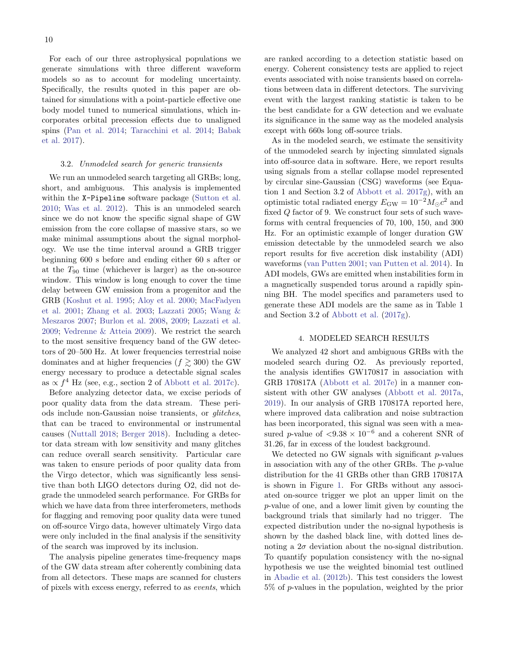For each of our three astrophysical populations we generate simulations with three different waveform models so as to account for modeling uncertainty. Specifically, the results quoted in this paper are obtained for simulations with a point-particle effective one body model tuned to numerical simulations, which incorporates orbital precession effects due to unaligned spins [\(Pan et al.](#page-21-29) [2014;](#page-21-29) [Taracchini et al.](#page-21-30) [2014;](#page-21-30) [Babak](#page-20-46) [et al.](#page-20-46) [2017\)](#page-20-46).

# 3.2. Unmodeled search for generic transients

We run an unmodeled search targeting all GRBs; long, short, and ambiguous. This analysis is implemented within the X-Pipeline software package [\(Sutton et al.](#page-21-20) [2010;](#page-21-20) [Was et al.](#page-21-21) [2012\)](#page-21-21). This is an unmodeled search since we do not know the specific signal shape of GW emission from the core collapse of massive stars, so we make minimal assumptions about the signal morphology. We use the time interval around a GRB trigger beginning 600 s before and ending either 60 s after or at the  $T_{90}$  time (whichever is larger) as the on-source window. This window is long enough to cover the time delay between GW emission from a progenitor and the GRB [\(Koshut et al.](#page-20-47) [1995;](#page-20-47) [Aloy et al.](#page-20-48) [2000;](#page-20-48) [MacFadyen](#page-20-49) [et al.](#page-20-49) [2001;](#page-20-49) [Zhang et al.](#page-21-31) [2003;](#page-21-31) [Lazzati](#page-20-50) [2005;](#page-20-50) [Wang &](#page-21-32) [Meszaros](#page-21-32) [2007;](#page-21-32) [Burlon et al.](#page-20-51) [2008,](#page-20-51) [2009;](#page-20-52) [Lazzati et al.](#page-20-53) [2009;](#page-20-53) [Vedrenne & Atteia](#page-21-33) [2009\)](#page-21-33). We restrict the search to the most sensitive frequency band of the GW detectors of 20–500 Hz. At lower frequencies terrestrial noise dominates and at higher frequencies ( $f \geq 300$ ) the GW energy necessary to produce a detectable signal scales as  $\propto f^4$  Hz (see, e.g., section 2 of [Abbott et al.](#page-20-54) [2017c\)](#page-20-54).

Before analyzing detector data, we excise periods of poor quality data from the data stream. These periods include non-Gaussian noise transients, or glitches, that can be traced to environmental or instrumental causes [\(Nuttall](#page-21-34) [2018;](#page-21-34) [Berger](#page-20-55) [2018\)](#page-20-55). Including a detector data stream with low sensitivity and many glitches can reduce overall search sensitivity. Particular care was taken to ensure periods of poor quality data from the Virgo detector, which was significantly less sensitive than both LIGO detectors during O2, did not degrade the unmodeled search performance. For GRBs for which we have data from three interferometers, methods for flagging and removing poor quality data were tuned on off-source Virgo data, however ultimately Virgo data were only included in the final analysis if the sensitivity of the search was improved by its inclusion.

The analysis pipeline generates time-frequency maps of the GW data stream after coherently combining data from all detectors. These maps are scanned for clusters of pixels with excess energy, referred to as events, which are ranked according to a detection statistic based on energy. Coherent consistency tests are applied to reject events associated with noise transients based on correlations between data in different detectors. The surviving event with the largest ranking statistic is taken to be the best candidate for a GW detection and we evaluate its significance in the same way as the modeled analysis except with 660s long off-source trials.

As in the modeled search, we estimate the sensitivity of the unmodeled search by injecting simulated signals into off-source data in software. Here, we report results using signals from a stellar collapse model represented by circular sine-Gaussian (CSG) waveforms (see Equation 1 and Section 3.2 of [Abbott et al.](#page-20-38) [2017g\)](#page-20-38), with an optimistic total radiated energy  $E_{\text{GW}} = 10^{-2} M_{\odot} c^2$  and fixed Q factor of 9. We construct four sets of such waveforms with central frequencies of 70, 100, 150, and 300 Hz. For an optimistic example of longer duration GW emission detectable by the unmodeled search we also report results for five accretion disk instability (ADI) waveforms [\(van Putten](#page-21-35) [2001;](#page-21-35) [van Putten et al.](#page-21-36) [2014\)](#page-21-36). In ADI models, GWs are emitted when instabilities form in a magnetically suspended torus around a rapidly spinning BH. The model specifics and parameters used to generate these ADI models are the same as in Table 1 and Section 3.2 of [Abbott et al.](#page-20-38) [\(2017g\)](#page-20-38).

### 4. MODELED SEARCH RESULTS

<span id="page-9-0"></span>We analyzed 42 short and ambiguous GRBs with the modeled search during O2. As previously reported, the analysis identifies GW170817 in association with GRB 170817A [\(Abbott et al.](#page-20-12) [2017e\)](#page-20-12) in a manner consistent with other GW analyses [\(Abbott et al.](#page-20-11) [2017a,](#page-20-11) [2019\)](#page-20-13). In our analysis of GRB 170817A reported here, where improved data calibration and noise subtraction has been incorporated, this signal was seen with a measured p-value of  $\langle 9.38 \times 10^{-6}$  and a coherent SNR of 31.26, far in excess of the loudest background.

We detected no GW signals with significant  $p$ -values in association with any of the other GRBs. The p-value distribution for the 41 GRBs other than GRB 170817A is shown in Figure [1.](#page-10-1) For GRBs without any associated on-source trigger we plot an upper limit on the p-value of one, and a lower limit given by counting the background trials that similarly had no trigger. The expected distribution under the no-signal hypothesis is shown by the dashed black line, with dotted lines denoting a  $2\sigma$  deviation about the no-signal distribution. To quantify population consistency with the no-signal hypothesis we use the weighted binomial test outlined in [Abadie et al.](#page-20-56) [\(2012b\)](#page-20-56). This test considers the lowest 5% of p-values in the population, weighted by the prior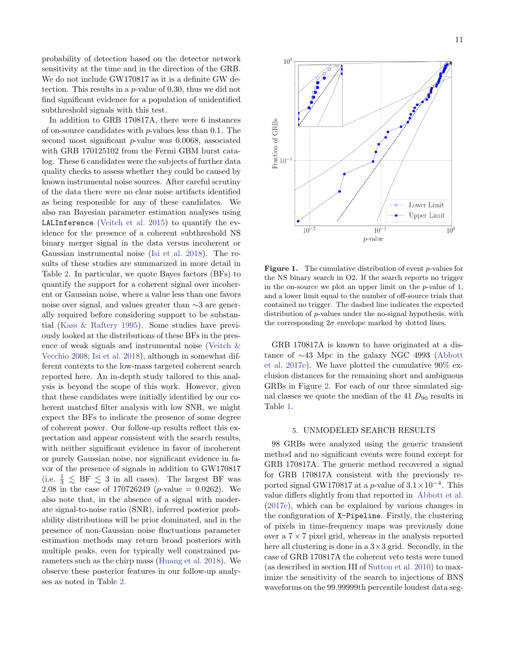probability of detection based on the detector network sensitivity at the time and in the direction of the GRB. We do not include GW170817 as it is a definite GW detection. This results in a p-value of 0.30, thus we did not find significant evidence for a population of unidentified subthreshold signals with this test.

In addition to GRB 170817A, there were 6 instances of on-source candidates with  $p$ -values less than 0.1. The second most significant p-value was 0.0068, associated with GRB 170125102 from the Fermi GBM burst catalog. These 6 candidates were the subjects of further data quality checks to assess whether they could be caused by known instrumental noise sources. After careful scrutiny of the data there were no clear noise artifacts identified as being responsible for any of these candidates. We also ran Bayesian parameter estimation analyses using LALInference [\(Veitch et al.](#page-21-37) [2015\)](#page-21-37) to quantify the evidence for the presence of a coherent subthreshold NS binary merger signal in the data versus incoherent or Gaussian instrumental noise [\(Isi et al.](#page-20-57) [2018\)](#page-20-57). The results of these studies are summarized in more detail in Table [2.](#page-15-0) In particular, we quote Bayes factors (BFs) to quantify the support for a coherent signal over incoherent or Gaussian noise, where a value less than one favors noise over signal, and values greater than ∼3 are generally required before considering support to be substantial [\(Kass & Raftery](#page-20-58) [1995\)](#page-20-58). Some studies have previously looked at the distributions of these BFs in the presence of weak signals and instrumental noise [\(Veitch &](#page-21-38) [Vecchio](#page-21-38) [2008;](#page-21-38) [Isi et al.](#page-20-57) [2018\)](#page-20-57), although in somewhat different contexts to the low-mass targeted coherent search reported here. An in-depth study tailored to this analysis is beyond the scope of this work. However, given that these candidates were initially identified by our coherent matched filter analysis with low SNR, we might expect the BFs to indicate the presence of some degree of coherent power. Our follow-up results reflect this expectation and appear consistent with the search results, with neither significant evidence in favor of incoherent or purely Gaussian noise, nor significant evidence in favor of the presence of signals in addition to GW170817 (i.e.  $\frac{1}{3} \leq$  BF  $\leq$  3 in all cases). The largest BF was 2.08 in the case of 170726249 (*p*-value = 0.0262). We also note that, in the absence of a signal with moderate signal-to-noise ratio (SNR), inferred posterior probability distributions will be prior dominated, and in the presence of non-Gaussian noise fluctuations parameter estimation methods may return broad posteriors with multiple peaks, even for typically well constrained parameters such as the chirp mass [\(Huang et al.](#page-20-59) [2018\)](#page-20-59). We observe these posterior features in our follow-up analyses as noted in Table [2.](#page-15-0)



<span id="page-10-1"></span>Figure 1. The cumulative distribution of event p-values for the NS binary search in O2. If the search reports no trigger in the on-source we plot an upper limit on the p-value of 1, and a lower limit equal to the number of off-source trials that contained no trigger. The dashed line indicates the expected distribution of p-values under the no-signal hypothesis, with the corresponding  $2\sigma$  envelope marked by dotted lines.

GRB 170817A is known to have originated at a distance of ∼43 Mpc in the galaxy NGC 4993 [\(Abbott](#page-20-12) [et al.](#page-20-12) [2017e\)](#page-20-12). We have plotted the cumulative 90% exclusion distances for the remaining short and ambiguous GRBs in Figure [2.](#page-11-1) For each of our three simulated signal classes we quote the median of the 41  $D_{90}$  results in Table [1.](#page-14-0)

# 5. UNMODELED SEARCH RESULTS

<span id="page-10-0"></span>98 GRBs were analyzed using the generic transient method and no significant events were found except for GRB 170817A. The generic method recovered a signal for GRB 170817A consistent with the previously reported signal GW170817 at a p-value of  $3.1 \times 10^{-4}$ . This value differs slightly from that reported in [Abbott et al.](#page-20-12) [\(2017e\)](#page-20-12), which can be explained by various changes in the configuration of X-Pipeline. Firstly, the clustering of pixels in time-frequency maps was previously done over a  $7 \times 7$  pixel grid, whereas in the analysis reported here all clustering is done in a  $3\times3$  grid. Secondly, in the case of GRB 170817A the coherent veto tests were tuned (as described in section III of [Sutton et al.](#page-21-20) [2010\)](#page-21-20) to maximize the sensitivity of the search to injections of BNS waveforms on the 99.99999th percentile loudest data seg-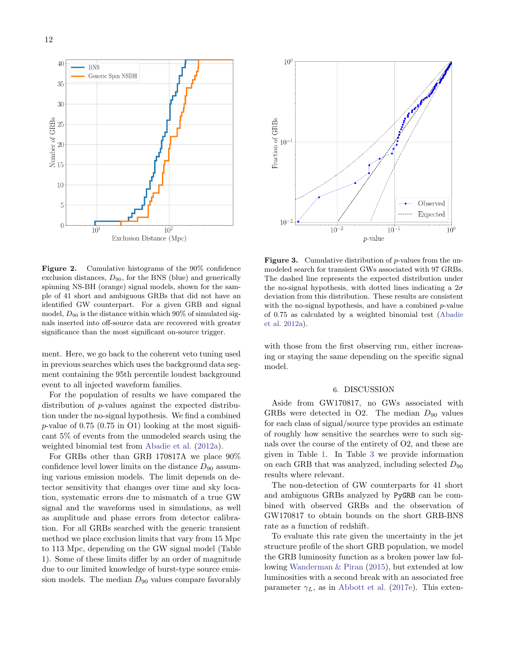



<span id="page-11-1"></span>Figure 2. Cumulative histograms of the 90% confidence exclusion distances,  $D_{90}$ , for the BNS (blue) and generically spinning NS-BH (orange) signal models, shown for the sample of 41 short and ambiguous GRBs that did not have an identified GW counterpart. For a given GRB and signal model,  $D_{90}$  is the distance within which  $90\%$  of simulated signals inserted into off-source data are recovered with greater significance than the most significant on-source trigger.

ment. Here, we go back to the coherent veto tuning used in previous searches which uses the background data segment containing the 95th percentile loudest background event to all injected waveform families.

For the population of results we have compared the distribution of p-values against the expected distribution under the no-signal hypothesis. We find a combined p-value of 0.75 (0.75 in O1) looking at the most significant 5% of events from the unmodeled search using the weighted binomial test from [Abadie et al.](#page-20-60) [\(2012a\)](#page-20-60).

For GRBs other than GRB 170817A we place 90% confidence level lower limits on the distance  $D_{90}$  assuming various emission models. The limit depends on detector sensitivity that changes over time and sky location, systematic errors due to mismatch of a true GW signal and the waveforms used in simulations, as well as amplitude and phase errors from detector calibration. For all GRBs searched with the generic transient method we place exclusion limits that vary from 15 Mpc to 113 Mpc, depending on the GW signal model (Table 1). Some of these limits differ by an order of magnitude due to our limited knowledge of burst-type source emission models. The median  $D_{90}$  values compare favorably



**Figure 3.** Cumulative distribution of  $p$ -values from the unmodeled search for transient GWs associated with 97 GRBs. The dashed line represents the expected distribution under the no-signal hypothesis, with dotted lines indicating a  $2\sigma$ deviation from this distribution. These results are consistent with the no-signal hypothesis, and have a combined  $p$ -value of 0.75 as calculated by a weighted binomial test [\(Abadie](#page-20-60) [et al.](#page-20-60) [2012a\)](#page-20-60).

with those from the first observing run, either increasing or staying the same depending on the specific signal model.

### 6. DISCUSSION

<span id="page-11-0"></span>Aside from GW170817, no GWs associated with GRBs were detected in O2. The median  $D_{90}$  values for each class of signal/source type provides an estimate of roughly how sensitive the searches were to such signals over the course of the entirety of O2, and these are given in Table [1.](#page-14-0) In Table [3](#page-16-0) we provide information on each GRB that was analyzed, including selected  $D_{90}$ results where relevant.

The non-detection of GW counterparts for 41 short and ambiguous GRBs analyzed by PyGRB can be combined with observed GRBs and the observation of GW170817 to obtain bounds on the short GRB-BNS rate as a function of redshift.

To evaluate this rate given the uncertainty in the jet structure profile of the short GRB population, we model the GRB luminosity function as a broken power law following [Wanderman & Piran](#page-21-39) [\(2015\)](#page-21-39), but extended at low luminosities with a second break with an associated free parameter  $\gamma_L$ , as in [Abbott et al.](#page-20-12) [\(2017e\)](#page-20-12). This exten-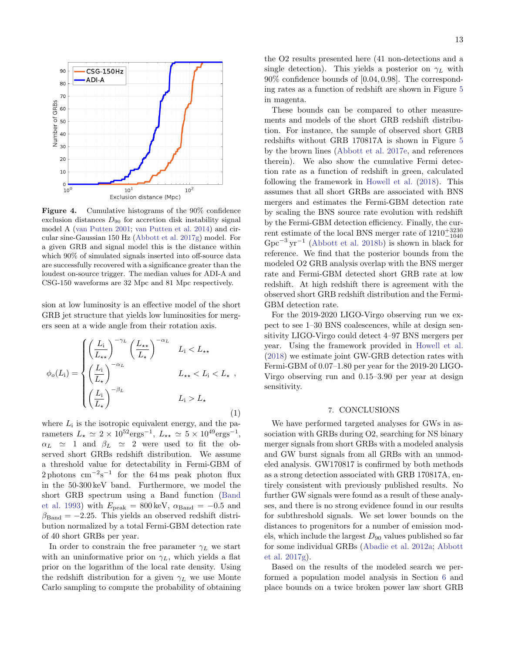

Figure 4. Cumulative histograms of the 90% confidence exclusion distances  $D_{90}$  for accretion disk instability signal model A [\(van Putten](#page-21-35) [2001;](#page-21-35) [van Putten et al.](#page-21-36) [2014\)](#page-21-36) and circular sine-Gaussian 150 Hz [\(Abbott et al.](#page-20-38) [2017g\)](#page-20-38) model. For a given GRB and signal model this is the distance within which 90% of simulated signals inserted into off-source data are successfully recovered with a significance greater than the loudest on-source trigger. The median values for ADI-A and CSG-150 waveforms are 32 Mpc and 81 Mpc respectively.

sion at low luminosity is an effective model of the short GRB jet structure that yields low luminosities for mergers seen at a wide angle from their rotation axis.

$$
\phi_o(L_i) = \begin{cases}\n\left(\frac{L_i}{L_{\star\star}}\right)^{-\gamma_L} \left(\frac{L_{\star\star}}{L_{\star}}\right)^{-\alpha_L} & L_i < L_{\star\star} \\
\left(\frac{L_i}{L_{\star}}\right)^{-\alpha_L} & L_{\star\star} < L_i < L_{\star} \n\end{cases}, \\
\left(\frac{L_i}{L_{\star}}\right)^{-\beta_L} & L_i > L_{\star}\n\tag{1}
$$

where  $L_i$  is the isotropic equivalent energy, and the parameters  $L_{\star} \simeq 2 \times 10^{52} \text{erg} \text{s}^{-1}$ ,  $L_{\star\star} \simeq 5 \times 10^{49} \text{erg} \text{s}^{-1}$ ,  $\alpha_L \simeq 1$  and  $\beta_L \simeq 2$  were used to fit the observed short GRBs redshift distribution. We assume a threshold value for detectability in Fermi-GBM of 2 photons  $\text{cm}^{-2}\text{s}^{-1}$  for the 64 ms peak photon flux in the 50-300 keV band. Furthermore, we model the short GRB spectrum using a Band function [\(Band](#page-20-61) [et al.](#page-20-61) [1993\)](#page-20-61) with  $E_{\text{peak}} = 800 \,\text{keV}$ ,  $\alpha_{\text{Band}} = -0.5$  and  $\beta_{\text{Band}} = -2.25$ . This yields an observed redshift distribution normalized by a total Fermi-GBM detection rate of 40 short GRBs per year.

In order to constrain the free parameter  $\gamma_L$  we start with an uninformative prior on  $\gamma_L$ , which yields a flat prior on the logarithm of the local rate density. Using the redshift distribution for a given  $\gamma_L$  we use Monte Carlo sampling to compute the probability of obtaining the O2 results presented here (41 non-detections and a single detection). This yields a posterior on  $\gamma_L$  with 90% confidence bounds of [0.04, 0.98]. The corresponding rates as a function of redshift are shown in Figure [5](#page-13-0) in magenta.

These bounds can be compared to other measurements and models of the short GRB redshift distribution. For instance, the sample of observed short GRB redshifts without GRB 170817A is shown in Figure [5](#page-13-0) by the brown lines [\(Abbott et al.](#page-20-12) [2017e,](#page-20-12) and references therein). We also show the cumulative Fermi detection rate as a function of redshift in green, calculated following the framework in [Howell et al.](#page-20-62) [\(2018\)](#page-20-62). This assumes that all short GRBs are associated with BNS mergers and estimates the Fermi-GBM detection rate by scaling the BNS source rate evolution with redshift by the Fermi-GBM detection efficiency. Finally, the current estimate of the local BNS merger rate of  $1210^{+3230}_{-1040}$ Gpc<sup>-3</sup> yr<sup>-1</sup> [\(Abbott et al.](#page-20-32) [2018b\)](#page-20-32) is shown in black for reference. We find that the posterior bounds from the modeled O2 GRB analysis overlap with the BNS merger rate and Fermi-GBM detected short GRB rate at low redshift. At high redshift there is agreement with the observed short GRB redshift distribution and the Fermi-GBM detection rate.

<span id="page-12-1"></span>For the 2019-2020 LIGO-Virgo observing run we expect to see 1–30 BNS coalescences, while at design sensitivity LIGO-Virgo could detect 4–97 BNS mergers per year. Using the framework provided in [Howell et al.](#page-20-62) [\(2018\)](#page-20-62) we estimate joint GW-GRB detection rates with Fermi-GBM of 0.07–1.80 per year for the 2019-20 LIGO-Virgo observing run and 0.15–3.90 per year at design sensitivity.

### 7. CONCLUSIONS

<span id="page-12-0"></span>We have performed targeted analyses for GWs in association with GRBs during O2, searching for NS binary merger signals from short GRBs with a modeled analysis and GW burst signals from all GRBs with an unmodeled analysis. GW170817 is confirmed by both methods as a strong detection associated with GRB 170817A, entirely consistent with previously published results. No further GW signals were found as a result of these analyses, and there is no strong evidence found in our results for subthreshold signals. We set lower bounds on the distances to progenitors for a number of emission models, which include the largest  $D_{90}$  values published so far for some individual GRBs [\(Abadie et al.](#page-20-60) [2012a;](#page-20-60) [Abbott](#page-20-38) [et al.](#page-20-38) [2017g\)](#page-20-38).

Based on the results of the modeled search we performed a population model analysis in Section [6](#page-11-0) and place bounds on a twice broken power law short GRB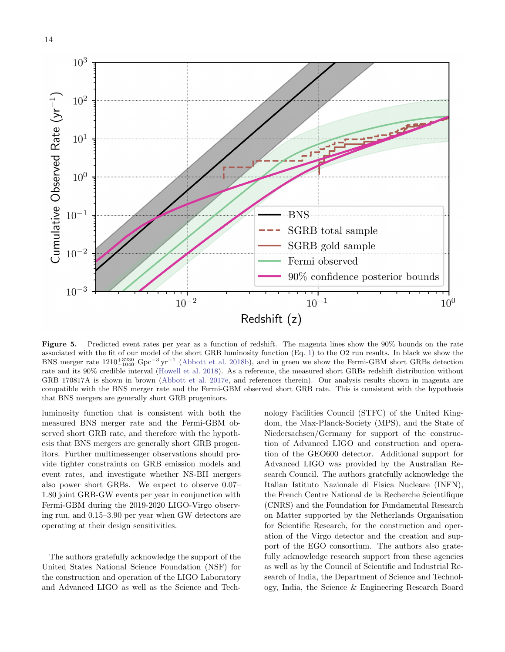

<span id="page-13-0"></span>Figure 5. Predicted event rates per year as a function of redshift. The magenta lines show the 90% bounds on the rate associated with the fit of our model of the short GRB luminosity function (Eq. [1\)](#page-12-1) to the O2 run results. In black we show the BNS merger rate  $1210_{-1040}^{+3230}$  Gpc<sup>-3</sup> yr<sup>-1</sup> [\(Abbott et al.](#page-20-32) [2018b\)](#page-20-32), and in green we show the Fermi-GBM short GRBs detection rate and its 90% credible interval [\(Howell et al.](#page-20-62) [2018\)](#page-20-62). As a reference, the measured short GRBs redshift distribution without GRB 170817A is shown in brown [\(Abbott et al.](#page-20-12) [2017e,](#page-20-12) and references therein). Our analysis results shown in magenta are compatible with the BNS merger rate and the Fermi-GBM observed short GRB rate. This is consistent with the hypothesis that BNS mergers are generally short GRB progenitors.

luminosity function that is consistent with both the measured BNS merger rate and the Fermi-GBM observed short GRB rate, and therefore with the hypothesis that BNS mergers are generally short GRB progenitors. Further multimessenger observations should provide tighter constraints on GRB emission models and event rates, and investigate whether NS-BH mergers also power short GRBs. We expect to observe 0.07– 1.80 joint GRB-GW events per year in conjunction with Fermi-GBM during the 2019-2020 LIGO-Virgo observing run, and 0.15–3.90 per year when GW detectors are operating at their design sensitivities.

The authors gratefully acknowledge the support of the United States National Science Foundation (NSF) for the construction and operation of the LIGO Laboratory and Advanced LIGO as well as the Science and Technology Facilities Council (STFC) of the United Kingdom, the Max-Planck-Society (MPS), and the State of Niedersachsen/Germany for support of the construction of Advanced LIGO and construction and operation of the GEO600 detector. Additional support for Advanced LIGO was provided by the Australian Research Council. The authors gratefully acknowledge the Italian Istituto Nazionale di Fisica Nucleare (INFN), the French Centre National de la Recherche Scientifique (CNRS) and the Foundation for Fundamental Research on Matter supported by the Netherlands Organisation for Scientific Research, for the construction and operation of the Virgo detector and the creation and support of the EGO consortium. The authors also gratefully acknowledge research support from these agencies as well as by the Council of Scientific and Industrial Research of India, the Department of Science and Technology, India, the Science & Engineering Research Board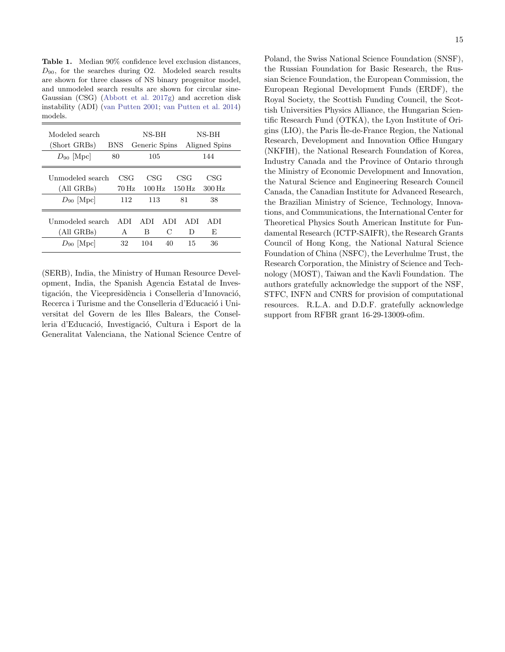<span id="page-14-0"></span>Table 1. Median 90% confidence level exclusion distances,  $D_{90}$ , for the searches during O2. Modeled search results are shown for three classes of NS binary progenitor model, and unmodeled search results are shown for circular sine-Gaussian (CSG) [\(Abbott et al.](#page-20-38) [2017g\)](#page-20-38) and accretion disk instability (ADI) [\(van Putten](#page-21-35) [2001;](#page-21-35) [van Putten et al.](#page-21-36) [2014\)](#page-21-36) models.

| Modeled search   |                   | NS-BH              |      |                    | NS-BH              |
|------------------|-------------------|--------------------|------|--------------------|--------------------|
| (Short GRBs)     | <b>BNS</b>        | Generic Spins      |      |                    | Aligned Spins      |
| $D_{90}$ [Mpc]   | 80                | 105                |      |                    | 144                |
| Unmodeled search | CSG               | CSG                |      | CSG                | CSG                |
| (All GRBs)       | $70\,\mathrm{Hz}$ | $100\,\mathrm{Hz}$ |      | $150\,\mathrm{Hz}$ | $300\,\mathrm{Hz}$ |
| $D_{90}$ [Mpc]   | 112               | 113                |      | 81                 | 38                 |
| Unmodeled search | A DI              | A DI               | A DI | A DI               | A DI               |
| (All GRBs)       | A                 | В                  | С    | D                  | F,                 |
| $D_{90}$ [Mpc]   | 32                | 104                | 40   | 15                 | 36                 |

(SERB), India, the Ministry of Human Resource Development, India, the Spanish Agencia Estatal de Investigación, the Vicepresidència i Conselleria d'Innovació, Recerca i Turisme and the Conselleria d'Educació i Universitat del Govern de les Illes Balears, the Conselleria d'Educació, Investigació, Cultura i Esport de la Generalitat Valenciana, the National Science Centre of Poland, the Swiss National Science Foundation (SNSF), the Russian Foundation for Basic Research, the Russian Science Foundation, the European Commission, the European Regional Development Funds (ERDF), the Royal Society, the Scottish Funding Council, the Scottish Universities Physics Alliance, the Hungarian Scientific Research Fund (OTKA), the Lyon Institute of Origins (LIO), the Paris ˆIle-de-France Region, the National Research, Development and Innovation Office Hungary (NKFIH), the National Research Foundation of Korea, Industry Canada and the Province of Ontario through the Ministry of Economic Development and Innovation, the Natural Science and Engineering Research Council Canada, the Canadian Institute for Advanced Research, the Brazilian Ministry of Science, Technology, Innovations, and Communications, the International Center for Theoretical Physics South American Institute for Fundamental Research (ICTP-SAIFR), the Research Grants Council of Hong Kong, the National Natural Science Foundation of China (NSFC), the Leverhulme Trust, the Research Corporation, the Ministry of Science and Technology (MOST), Taiwan and the Kavli Foundation. The authors gratefully acknowledge the support of the NSF, STFC, INFN and CNRS for provision of computational resources. R.L.A. and D.D.F. gratefully acknowledge support from RFBR grant 16-29-13009-ofim.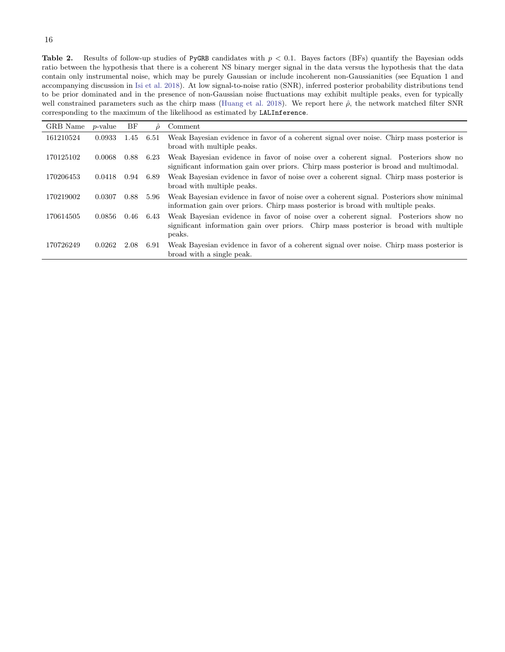<span id="page-15-0"></span>**Table 2.** Results of follow-up studies of PyGRB candidates with  $p < 0.1$ . Bayes factors (BFs) quantify the Bayesian odds ratio between the hypothesis that there is a coherent NS binary merger signal in the data versus the hypothesis that the data contain only instrumental noise, which may be purely Gaussian or include incoherent non-Gaussianities (see Equation 1 and accompanying discussion in [Isi et al.](#page-20-57) [2018\)](#page-20-57). At low signal-to-noise ratio (SNR), inferred posterior probability distributions tend to be prior dominated and in the presence of non-Gaussian noise fluctuations may exhibit multiple peaks, even for typically well constrained parameters such as the chirp mass [\(Huang et al.](#page-20-59) [2018\)](#page-20-59). We report here  $\hat{\rho}$ , the network matched filter SNR corresponding to the maximum of the likelihood as estimated by LALInference.

| GRB Name  | <i>p</i> -value | BF   | $\mathcal{Q}$ | Comment                                                                                                                                                                                |
|-----------|-----------------|------|---------------|----------------------------------------------------------------------------------------------------------------------------------------------------------------------------------------|
| 161210524 | 0.0933          | 1.45 | 6.51          | Weak Bayesian evidence in favor of a coherent signal over noise. Chirp mass posterior is<br>broad with multiple peaks.                                                                 |
| 170125102 | 0.0068          | 0.88 | 6.23          | Weak Bayesian evidence in favor of noise over a coherent signal. Posteriors show no<br>significant information gain over priors. Chirp mass posterior is broad and multimodal.         |
| 170206453 | 0.0418          | 0.94 | 6.89          | Weak Bayesian evidence in favor of noise over a coherent signal. Chirp mass posterior is<br>broad with multiple peaks.                                                                 |
| 170219002 | 0.0307          | 0.88 | 5.96          | Weak Bayesian evidence in favor of noise over a coherent signal. Posteriors show minimal<br>information gain over priors. Chirp mass posterior is broad with multiple peaks.           |
| 170614505 | 0.0856          | 0.46 | 6.43          | Weak Bayesian evidence in favor of noise over a coherent signal. Posteriors show no<br>significant information gain over priors. Chirp mass posterior is broad with multiple<br>peaks. |
| 170726249 | 0.0262          | 2.08 | 6.91          | Weak Bayesian evidence in favor of a coherent signal over noise. Chirp mass posterior is<br>broad with a single peak.                                                                  |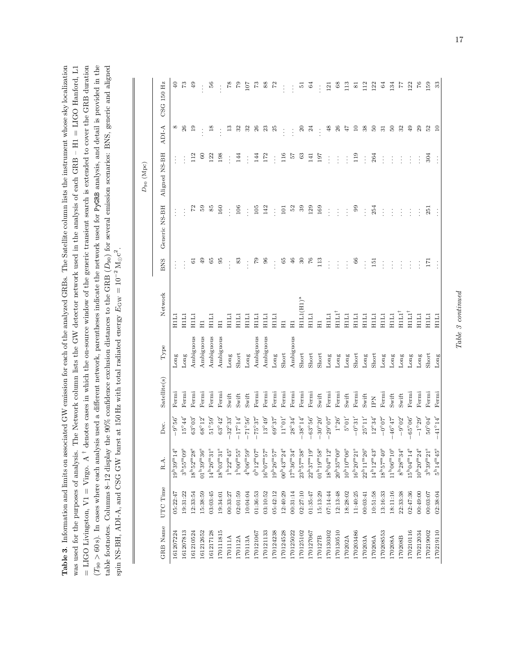| <b>Table 3.</b> Information and limits on associated GW emission for each of the analyzed GRBs. The Satellite column lists the instrument whose sky localization | Network column lists the GW detector network used in the analysis of each GRB – H1 = LIGO Hanford, L1 | = LIGO Livingston, V1 = Virgo. A <sup>†</sup> denotes cases in which the on-source window of the generic transient search is extended to cover the GRB duration | $T_{90} > 60$ s). In cases where each analysis used a different network, parentheses indicate the network used for PyGRB analysis, and detail is provided in the | $90\%$ confidence exclusion distances to the GRB ( $D_{90}$ ) for several emission scenarios: BNS, generic and aligned | spin NS-BH, ADI-A, and CSG GW burst at 150 Hz with total radiated energy $E_{\rm GW} = 10^{-2} \,\rm M_{\odot}c^2$ . |
|------------------------------------------------------------------------------------------------------------------------------------------------------------------|-------------------------------------------------------------------------------------------------------|-----------------------------------------------------------------------------------------------------------------------------------------------------------------|------------------------------------------------------------------------------------------------------------------------------------------------------------------|------------------------------------------------------------------------------------------------------------------------|----------------------------------------------------------------------------------------------------------------------|
|                                                                                                                                                                  | was used for the purposes of analysis. The                                                            |                                                                                                                                                                 |                                                                                                                                                                  | able footnotes. Columns 8-12 display the 9                                                                             |                                                                                                                      |

 $\overline{1}$ 

|                 |          |                                                 |                                              |              |           |                                                       |                   |               | $D_{90}$ (Mpc) |            |                |
|-----------------|----------|-------------------------------------------------|----------------------------------------------|--------------|-----------|-------------------------------------------------------|-------------------|---------------|----------------|------------|----------------|
| <b>GRB</b> Name | UTC Time | R.A.                                            | Dec.                                         | Satellite(s) | Type      | Network                                               | BNS               | Generic NS-BH | Aligned NS-BH  | ADI-A      | CSG 150 Hz     |
| 161207224       | 05:22:47 | $19^{\mathrm{h}}39^{\mathrm{m}}14^{\mathrm{s}}$ | $-9^{\circ}56'$                              | Fermi        | Long      | H1L1                                                  |                   |               |                | $^{\circ}$ | $\mathbb Q$    |
| 161207813       | 19:31:22 | $3^{\mathrm{h}}55^{\mathrm{m}}09^{\mathrm{s}}$  | $15^{\circ}44'$                              | Fermi        | Long      | HILI                                                  |                   |               |                | 26         | 73             |
| 161210524       | 12:33:54 | $18^{\mathrm{h}}52^{\mathrm{m}}28^{\mathrm{s}}$ | $63^{\circ}03'$                              | Fermi        | Ambiguous | H1L1                                                  | 5                 | 52            | 112            | 19         | 49             |
| 161212652       | 15:38:59 | $\rm 01^h39^m36^s$                              | $68^{\circ}12'$                              | Fermi        | Ambiguous | $\Xi$                                                 | 49                | S9            | 8              |            |                |
| 161217128       | 03:03:45 | $14^{\rm h}26^{\rm m}31^{\rm s}$                | $51^{\circ}59'$                              | Fermi        | Ambiguous | H <sub>11</sub>                                       | 65                | 85            | 122            | 18         | S6             |
| 170111815       | 19:34:01 | $18^{\mathrm{h}}03^{\mathrm{m}}31^{\mathrm{s}}$ | $63^{\circ}42'$                              | Fermi        | Ambiguous | $\Xi$                                                 | 95                | 160           | 198            |            |                |
| 170111A         | 00:33:27 | $1^{\rm h}22^{\rm m}45^{\rm s}$                 | $32^{\circ}33'$                              | Swift        | Long      | HЩ                                                    | $\ddot{\cdot}$    | $\vdots$      |                | ≌          | 87             |
| 170112A         | 02:01:59 | $1^{\rm h}00^{\rm m}55^{\rm s}$                 | $-17^{\circ}14$                              | Swift        | Short     | HILI                                                  | 83                | 106           | 144            | 32         | 52             |
| 170113A         | 10:04:04 | $4^{\rm h}$ 06 $^{\rm m}$ 59 $^{\rm s}$         | $-25^\circ$                                  | Swift        | Long      | H <sub>1</sub>                                        | $\ddot{\cdot}$    | $\vdots$      | $\vdots$       | 32         | 107            |
| 170121067       | 01:36:53 | $0^{h}12^{m}07^{s}$                             | $75^{\circ}37'$<br>$\overline{\phantom{a}}$  | Fermi        | Ambiguous | H <sub>1</sub>                                        | 62                | 105           | 144            | 26         | r              |
| 170121133       | 03:10:52 | $16^{\rm h}07^{\rm m}57^{\rm s}$                | $13^{\circ}49'$                              | Fermi        | Ambiguous | НIJ                                                   | 96                | 142           | 172            | 23         | 88             |
| 170124238       | 05:42:12 | $19^{\rm h}26^{\rm m}57^{\rm s}$                | $69^{\circ}37'$                              | Fermi        | Long      | H <sub>1</sub>                                        |                   | $\vdots$      |                | 25         | 52             |
| 170124528       | 12:40:29 | $100^{\rm h}43^{\rm m}24^{\rm s}$               | $11^{\circ}01'$                              | Fermi        | Short     | $\Xi$                                                 | 65                | 101           | 116            |            |                |
| 170125022       | 00:31:14 | $17^{\rm h}36^{\rm m}34^{\rm s}$                | $28^{\circ}34'$                              | Fermi        | Ambiguous | $\Xi$                                                 | 46                | 52            | 25             |            |                |
| 170125102       | 02:27:10 | $23^{\rm h}57^{\rm m}38^{\rm s}$                | $-38^{\circ}14'$<br>$\overline{\phantom{a}}$ | Fermi        | Short     | $\mathrm{H}\text{1L1}(\mathrm{H}\text{1})^{\text{a}}$ | $\boldsymbol{30}$ | 8             | සී             | $\Omega$   | 55             |
| 170127067       | 01:35:47 | $22^{\rm h}37^{\rm m}19^{\rm s}$                | $-63^{\circ}56'$                             | Fermi        | Short     | H1L1                                                  | $^{6}$            | 129           | 141            | 24         | $\mathbb{S}^2$ |
| 170127B         | 15:13:29 | $01^{\rm h}19^{\rm m}58^{\rm s}$                | $-30^{\circ}20'$                             | Swift        | Short     | $\Xi$                                                 | $\frac{3}{11}$    | 169           | 197            |            |                |
| 170130302       | 07:14:44 | $18^{\rm h}04^{\rm m}12^{\rm s}$                | $29^{\circ}07'$                              | Fermi        | Long      | H1L1                                                  |                   |               |                | 48         | 121            |
| 170130510       | 12:13:48 | $20^{\rm h}35^{\rm m}00^{\rm s}$                | $1^{\circ}26'$                               | Fermi        | Long      | HIII <sup>1</sup>                                     | $\vdots$          | $\vdots$      | $\vdots$       | 26         | $^{8}$         |
| 170202A         | 18:28:02 | $10^{\rm h}10^{\rm m}06^{\rm s}$                | $5^{\,\circ}01'$                             | $S$ wift     | Long      | E                                                     | $\vdots$          | $\vdots$      | $\vdots$       | ĻЪ         | $\frac{3}{2}$  |
| 170203486       | 11:40:25 | $16^{\rm h}20^{\rm m}21^{\rm s}$                | $-0^{\circ}31'$                              | Fermi        | Short     | H <sub>11</sub>                                       | 66                | 99            | 119            | $\Xi$      | ∞              |
| 170203A         | 00:03:41 | $22^{\rm h}11^{\rm m}26^{\rm s}$                | $25^{\circ}11'$                              | Swift        | Long      | H <sub>1</sub>                                        | $\vdots$          | $\vdots$      | $\vdots$       | 38         | 112            |
| 170206A         | 10:51:58 | $14^{\mathrm{h}}12^{\mathrm{m}}43^{\mathrm{s}}$ | $12^{\circ}34'$                              | EN           | Short     | H <sub>11</sub>                                       | 151               | 254           | 264            | $50\,$     | 122            |
| 170208553       | 13:16:33 | $18^{\mathrm{h}}57^{\mathrm{m}}40^{\mathrm{s}}$ | $-0^{\circ}07'$                              | Fermi        | Long      | НIJ                                                   |                   |               |                |            | $\mathbb{Z}$   |
| 170208A         | 18:11:16 | $11^{\rm h}06^{\rm m}10^{\rm s}$                | $46^{\circ}47'$                              | Swift        | Long      | H <sub>11</sub>                                       |                   |               |                | SO,        | 134            |
| [70208B         | 22:33:38 | $8^{\rm h}28^{\rm m}34^{\rm s}$                 | $-9^{\circ}02'$                              | Swift        | Long      | HILI <sup>1</sup>                                     |                   |               |                | 32         | F              |
| 170210116       | 02:47:36 | $15^{\rm h}04^{\rm m}14^{\rm s}$                | $-65^{\circ}06'$                             | Fermi        | Long      | HIII <sup>1</sup>                                     |                   | $\vdots$      |                | $\oplus$   | 122            |
| 170212034       | 00:49:00 | $10^{h}20^{m}24^{s}$                            | $-1^{\circ}29'$                              | Fermi        | Long      | H <sub>1L1</sub>                                      | $\vdots$          | $\vdots$      | $\vdots$       | 29         | 92             |
| 170219002       | 00:03:07 | $3^{\rm h}39^{\rm m}21^{\rm s}$                 | $50^{\,\circ}04'$                            | Fermi        | Short     | E                                                     | 171               | 251           | 304            | 52         | 159            |
| 170219110       | 02:38:04 | $5^{\mathrm{h}}14^{\mathrm{m}}45^{\mathrm{s}}$  | $-41^{\circ}14'$                             | Fermi        | Long      | HILI                                                  |                   | $\vdots$      |                | $\Xi$      | 33             |

<span id="page-16-0"></span> $Table\ 3\ continued$ Table 3 continued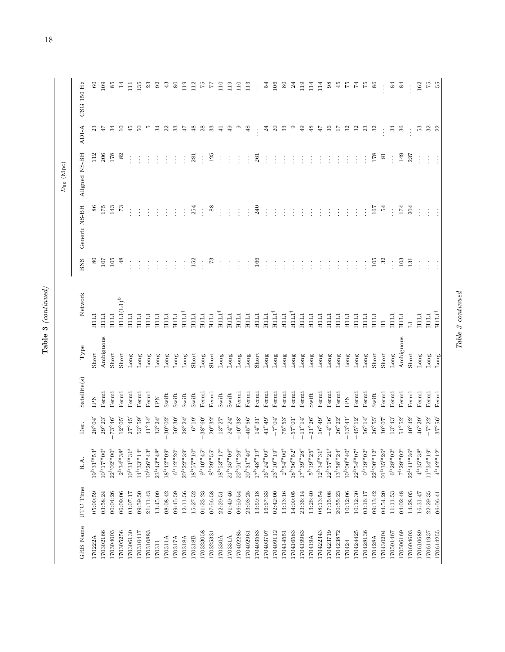| C<br>г |
|--------|
| ٢      |

|           |          |                                                |                      |                     |                          |                               |                |               | $D_{90}$ (Mpc)  |                |                 |
|-----------|----------|------------------------------------------------|----------------------|---------------------|--------------------------|-------------------------------|----------------|---------------|-----------------|----------------|-----------------|
| GRB Name  | UTC Time | R.A.                                           | Dec.                 | Satellite(s)        | Type                     | Network                       | BNS            | Generic NS-BH | Aligned NS-BH   | ADI-A          | CSG 150 Hz      |
| 170222A   | 05:00:59 | $19^{h}31^{m}53^{s}$                           | $28^{\circ}04'$      | ΕŇ                  | Short                    | H1L1                          | 80             | 86            | 112             | $^{23}$        | 8               |
| 170302166 | 03:58:24 | $10h17m00s$                                    | $29^{\circ}23'$      | Fermi               | Ambiguous                | H <sub>1</sub> L <sub>1</sub> | 107            | 175           | 206             | 47             | 109             |
| 170304003 | 00:04:26 | $22^{\rm h}02^{\rm m}00^{\rm s}$               | $73^{\circ}46'$      | Fermi               | Short                    | <b>HILI</b>                   | 105            | 143           | 178             | 34             | 85              |
| 170305256 | 06:09:06 | $2^{\rm h}34^{\rm m}38^{\rm s}$                | $12^{\circ}05'$      | Fermi               | Short                    | $H1L1(L1)^b$                  | $\frac{8}{3}$  | r.            | $\frac{8}{2}$   | $\Xi$          | $\overline{14}$ |
| 170306130 | 03:07:17 | $10^{\rm h}31^{\rm m}31^{\rm s}$               | $27^{\circ}45'$      | Fermi               | Long                     | H1L1                          |                | ÷             |                 | 45             | E               |
| 170310417 | 09:59:50 | $14^{\rm h}33^{\rm m}14^{\rm s}$               | $53^{\,\circ}59'$    | Fermi               | Long                     | H1L1                          |                |               |                 | S0             | 135             |
| 170310883 | 21:11:43 | $10^{h}26^{m}43^{s}$                           | $41^{\circ}34'$      | Fermi               | Long                     | $\overline{H}$                |                |               |                 | Ю              | ಔ               |
| 170311    | 13:45:09 | $23^{\rm h}43^{\rm m}48^{\rm s}$               | $33^{\circ}24'$      | $\mathop{\rm I\!P}$ | Long                     | HILI                          | $\vdots$       |               |                 | 34             | 95              |
| 170311A   | 08:08:42 | $18^{\rm h}42^{\rm m}09^{\rm s}$               | $30^{\circ}02'$      | Swift               | Long                     | HILI                          | $\ddot{.}$     |               |                 | 22             | ₩               |
| 170317A   | 09:45:59 | $6^{\mathrm{h}}12^{\mathrm{m}}20^{\mathrm{s}}$ | $50^{\circ}30'$      | Swift               | Long                     | H1L1                          | $\vdots$       |               |                 | 33             | 8               |
| 170318A   | 12:11:56 | $20^{\rm h}22^{\rm m}39^{\rm s}$               | $28^{\circ}24'$      | Swift               | Long                     | $HIII^{\dagger}$              |                | $\vdots$      |                 | ĻЬ             | 119             |
| 170318B   | 15:27:52 | $18^{\rm h}57^{\rm m}10^{\rm s}$               | $6^{\circ}19'$       | Swift               | Short                    | HILI                          | 152            | 254           | 281             | 48             | 112             |
| 170323058 | 01:23:23 | $9^{\rm h}40^{\rm m}45^{\rm s}$                | $-38^{\circ}60'$     | Fermi               | Long                     | H <sub>11</sub>               | $\vdots$       | $\vdots$      | $\vdots$        | 28             | 5Z              |
| 170325331 | 07:56:58 | $8^{\rm h}29^{\rm m}55^{\rm s}$                | $20^{\circ}32'$      | Fermi               | Short                    | <b>HILI</b>                   | $\mathbb{Z}^2$ | 88            | 125             | 33             | 71              |
| 170330A   | 22:29:51 | $18^{\rm h}53^{\rm m}17^{\rm s}$               | $-13^{\circ}27'$     | Swift               | Long                     | HIII <sup>†</sup>             |                | ÷             |                 | $\ddot{=}$     | 110             |
| 170331A   | 01:40:46 | $21^{\rm h}35^{\rm m}06^{\rm s}$               | $-24^{\circ}24'$     | Swift               | Long                     | HILI                          | $\vdots$       | $\vdots$      | $\ddot{\cdot}$  | $\overline{6}$ | 119             |
| 170402285 | 06:50:54 | $22^{\rm h}01^{\rm m}26^{\rm s}$               | $-10^{\circ}38'$     | Fermi               | Long                     | <b>HILI</b>                   | $\vdots$       | $\vdots$      | $\vdots$        | ග              | 110             |
| 170402961 | 23:03:25 | $20^{h}31^{m}40^{s}$                           | $-45^{\,\circ}\,56'$ | Fermi               | Long                     | <b>HILI</b>                   | $\vdots$       | $\vdots$      |                 | Φ              | $\frac{13}{2}$  |
| [70403583 | 13:59:18 | $17^{\rm h}48^{\rm m}19^{\rm s}$               | $14^{\circ}31'$      | Fermi               | Short                    | H1L1                          | 166            | 240           | 261             |                |                 |
| 170403707 | 16:57:33 | $16^{h}24^{m}09^{s}$                           | $41^{\circ}49'$      | Fermi               | Long                     | H1L1                          |                | $\vdots$      |                 | 24             | 24              |
| 170409112 | 02:42:00 | $23^{\rm h}10^{\rm m}19^{\rm s}$               | $-7^{\circ}04'$      | Fermi               | Long                     | $HIII^{\dagger}$              | $\vdots$       | ÷             |                 | $\approx$      | 106             |
| 170414551 | 13:13:16 | $2^{\rm h}54^{\rm m}00^{\rm s}$                | $75^{\,\circ}53'$    | Fermi               | Long                     | H <sub>1</sub>                | $\vdots$       | $\vdots$      |                 | ೫              | $\infty$        |
| 170416583 | 14:00:05 | $18h56m52s$                                    | $10^{\circ}25$       | Fermi               | Long                     | $HIII^{\dagger}$              |                |               |                 | ග              | $\mathfrak{A}$  |
| 170419983 | 23:36:14 | $17^{\rm h}39^{\rm m}28^{\rm s}$               | $-11^{\circ}14'$     | Fermi               | Long                     | HILI                          |                |               |                 | $\overline{6}$ | 119             |
| 170419A   | 13:26:40 | $5^{\rm h}19^{\rm m}25^{\rm s}$                | $21^{\circ}26'$      | Swift               | Long                     | HILI                          | ţ,             | ÷             |                 | $\frac{8}{3}$  | 114             |
| 170422343 | 08:13:54 | $12^{\rm h}34^{\rm m}31^{\rm s}$               | $16^{\circ}49'$      | Fermi               | Long                     | HILI                          | ÷              | ÷             |                 | 47             | 114             |
| 170423719 | 17:15:08 | $22^{\rm h}57^{\rm m}21^{\rm s}$               | $-4^{\circ}16'$      | Fermi               | Long                     | H <sub>11</sub>               |                | ÷             |                 | 36             | $\frac{8}{3}$   |
| 170423872 | 20:55:23 | $13^{\rm h}58^{\rm m}24^{\rm s}$               | $26^{\circ}22'$      | Fermi               | Long                     | НЦ                            |                | ÷             |                 | 71             | 45              |
| 170424    | 10:12:06 | $10^{h}00^{m}40^{s}$                           | $-13^{\circ}41'$     | $\sum_{i=1}^{n}$    | Long                     | HILI                          | $\vdots$       | $\vdots$      |                 | 32             | Ŗ               |
| 170424425 | 10:12:30 | $22^{\rm h}54^{\rm m}07^{\rm s}$               | $-45^{\circ}12'$     | Fermi               | Long                     | HILI                          | ÷              | ŧ             |                 | 32             | 74              |
| 170428136 | 03:16:17 | $0^{\rm h}19^{\rm m}02^{\rm s}$                | $56^{\circ}14'$      | Fermi               | $\mathop{\mathrm{Long}}$ | HILI                          | $\vdots$       | $\vdots$      | $\vdots$        | 23             | F               |
| 170428A   | 09:13:42 | $22^{\rm h}00^{\rm m}12^{\rm s}$               | $26^{\circ}55'$      | Swift               | Short                    | HILI                          | 105            | 167           | 178             | 32             | 86              |
| 170430204 | 04:54:20 | $01^{\rm h}35^{\rm m}26^{\rm s}$               | $30^{\,\circ}07'$    | Fermi               | Short                    | $\Xi$                         | 32             | 54            | $\overline{81}$ |                |                 |
| 170501467 | 11:11:53 | $6^{\rm h}28^{\rm m}02^{\rm s}$                | $13^{\circ}43'$      | Fermi               | Long                     | H <sub>1</sub> L <sub>1</sub> | $\vdots$       | $\vdots$      | $\vdots$        | 24             | 2               |
| 170506169 | 04:02:48 | $7^{\rm h}29^{\rm m}02^{\rm s}$                | $51^{\circ}52'$      | Fermi               | Ambiguous                | HILI                          | 103            | 174           | 149             | 36             | 84              |
| 170604603 | 14:28:05 | $22^{h}41^{m}36^{s}$                           | $40^{\circ}42'$      | Fermi               | Short                    | $\overline{a}$                | 131            | 204           | 237             |                |                 |
| 170610689 | 16:31:47 | $4^{\rm h}35^{\rm m}38^{\rm s}$                | $46^{\circ}29'$      | Fermi               | Long                     | HILI                          | $\vdots$       | $\vdots$      |                 | $53\,$         | 162             |
| 170611937 | 22:29:35 | $11^{\rm h}34^{\rm m}19^{\rm s}$               | $-7^{\circ}22'$      | Fermi               | Long                     | H1L1                          | $\vdots$       | $\vdots$      | $\vdots$        | $32\,$         | $\mathbb{Z}^2$  |
| 170614255 | 06:06:41 | $4^{\rm h}42^{\rm m}12^{\rm s}$                | $37^{\circ}56'$      | Fermi               | Long                     | $H1L1^{\dagger}$              |                |               |                 | 22             | 55              |

 $Table\ 3\ contained$ Table 3 continued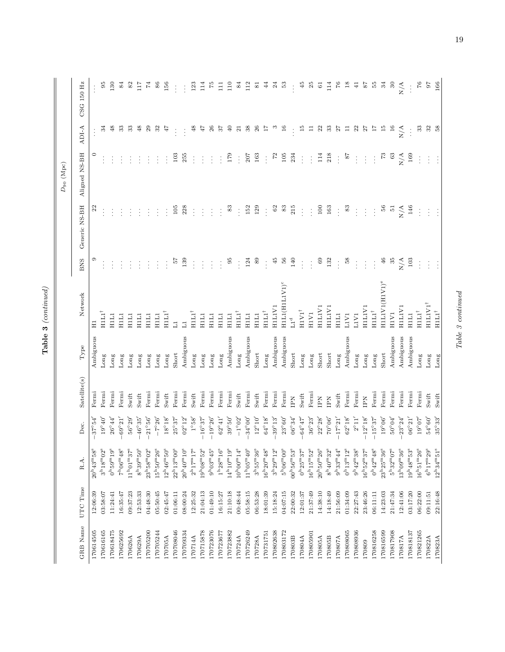| C<br>г |
|--------|
| ٢      |

|           |          |                                                 |                    |              |           |                                            |                |               | $D_{90}$ (Mpc) |               |                |
|-----------|----------|-------------------------------------------------|--------------------|--------------|-----------|--------------------------------------------|----------------|---------------|----------------|---------------|----------------|
| GRB Name  | UTC Time | R.A.                                            | Dec.               | Satellite(s) | Type      | Network                                    | <b>BNS</b>     | Generic NS-BH | Aligned NS-BH  | ADI-A         | CSG 150 Hz     |
| 170614505 | 12:06:39 | $20^{\rm h}43^{\rm m}58^{\rm s}$                | $37^{\circ}54'$    | Fermi        | Ambiguous | $\Xi$                                      | C)             | $\mathbb{Z}$  | $\circ$        |               |                |
| 170616165 | 03:58:07 | $3^{\rm h}18^{\rm m}02^{\rm s}$                 | $19^{\circ}40'$    | Fermi        | Long      | $H1L1^{\dagger}$                           |                |               |                | ಸ             | 56             |
| 170618475 | 11:24:41 | $0^{\rm h}59^{\rm m}19^{\rm s}$                 | $26^{\circ}44'$    | Fermi        | Long      | <b>HILI</b>                                |                |               |                | $\frac{8}{3}$ | 130            |
| 170625692 | 16:35:47 | $7^{\rm h}06^{\rm m}48^{\rm s}$                 | $-0.69^{\circ}21'$ | Fermi        | Long      | H <sub>1</sub>                             |                |               |                | ೫             | 84             |
| 170626A   | 09:37:23 | $11h01mg37s$                                    | $56^{\circ}29'$    | Swift        | Long      | H <sub>1</sub>                             |                |               |                | 33            | 82             |
| 170629A   | 12:53:33 | $8^{\rm h}39^{\rm m}50^{\rm s}$                 | $46^{\circ}35'$    | $S$ wift     | Long      | H1L1                                       |                |               |                | 48            | 21 L           |
| 170705200 | 04:48:30 | $23^{\mathrm{h}}58^{\mathrm{m}}02^{\mathrm{s}}$ | $21^{\circ}56'$    | Fermi        | Long      | <b>HILL</b>                                |                |               |                | $_{29}$       | 74             |
| 170705244 | 05:50:45 | $15^{\rm h}50^{\rm m}26^{\rm s}$                | $-7^{\circ}26'$    | Fermi        | Long      | <b>HILI</b>                                |                |               |                | 32            | 86             |
| 170705A   | 02:45:47 | $12^{\rm h}46^{\rm m}50^{\rm s}$                | $18^{\circ}18'$    | Swift        | Long      | $HIII^{\dagger}$                           | $\ddot{\cdot}$ |               |                | 47            | 156            |
| 170708046 | 01:06:11 | $22^{\rm h}13^{\rm m}00^{\rm s}$                | $25^{\circ}37'$    | Fermi        | Short     | $\overline{1}$                             | 75             | $105\,$       | 103            |               |                |
| 170709334 | 08:00:24 | $20^{h}40^{m}10^{s}$                            | $02^{\circ}12'$    | Fermi        | Ambiguous | $\overline{a}$                             | 139            | 228           | 255            |               |                |
| 170714A   | 12:25:32 | $2^{\mathrm{h}}17^{\mathrm{m}}17^{\mathrm{s}}$  | $1^{\circ}58'$     | Swift        | Long      | нші                                        |                |               |                | 48            | 123            |
| 170715878 | 21:04:13 | $19^{h}08^{m}52^{s}$                            | $16^{\circ}37'$    | Fermi        | Long      | H <sub>1</sub>                             | $\ddot{\cdot}$ | ÷             |                | 47            | $\frac{1}{11}$ |
| 170723076 | 01:49:10 | $9^{\rm h}03^{\rm m}45^{\rm s}$                 | $-19^{\circ}26'$   | Fermi        | Long      | H <sub>1</sub>                             | $\ddot{\cdot}$ | $\vdots$      |                | 26            | ŗ              |
| 170723677 | 16:15:27 | $1^{\rm h}28^{\rm m}16^{\rm s}$                 | $62^{\circ}41'$    | Fermi        | Long      | H <sub>1L1</sub>                           |                |               |                | 25            | Ξ              |
| 170723882 | 21:10:18 | $14^{\rm h}10^{\rm m}19^{\rm s}$                | $39^{\,\circ}50'$  | Fermi        | Ambiguous | HILI                                       | 95             | 33            | 179            | $\sqrt{4}$    | 110            |
| 170724A   | 00:48:44 | $10^{h}00^{m}14^{s}$                            | $-1^{\circ}02'$    | Swift        | Long      | HIII <sup>†</sup>                          | $\vdots$       | $\vdots$      | $\vdots$       | 21            | 84             |
| 170726249 | 05:58:15 | $11^{\rm h}05^{\rm m}40^{\rm s}$                | $34^{\circ}00'$    | Fermi        | Ambiguous | HILI                                       | 124            | 152           | 207            | 38            | 112            |
| 170728A   | 06:53:28 | $3^{\rm h}55^{\rm m}36^{\rm s}$                 | $12^{\circ}10'$    | Swift        | Short     | H <sub>1</sub> L <sub>1</sub>              | 89             | 129           | 163            | 26            | 5              |
| 170731751 | 18:01:39 | $16^{\rm h}20^{\rm m}48^{\rm s}$                | $64^{\circ}18'$    | Fermi        | Long      | $\mathrm{H}\amalg\mathrm{L}\amalg^\dagger$ | $\vdots$       | $\vdots$      | $\vdots$       | 17            | A              |
| 170802638 | 15:18:24 | $3^{\rm h}29^{\rm m}12^{\rm s}$                 | $39^{\circ}13'$    | Fermi        | Ambiguous | HILIV1                                     | 45             | 8             | 72             |               | ಸ              |
| 170803172 | 04:07:15 | $5^{\rm h}06^{\rm m}00^{\rm s}$                 | $23^{\circ}60'$    | Fermi        | Ambiguous | $H1L1(H1L1V1)^c$                           | 56             | ES            | 105            | $\frac{6}{1}$ | H              |
| 170803B   | 22:00:32 | $00^{h}56^{m}53^{s}$                            | $06^{\circ}34'$    | Ăď           | Short     | $\mathbf{L1}^\mathrm{d}$                   | 140            | 215           | 234            |               |                |
| 170804A   | 12:01:37 | $0^{\rm h}25^{\rm m}37^{\rm s}$                 | $64^{\circ}47'$    | Swift        | Long      | ${\rm HIV1}^\dagger$                       | $\vdots$       | $\vdots$      | $\vdots$       | $\frac{5}{1}$ | †9             |
| 170805901 | 21:37:49 | $16^{h}15^{m}52^{s}$                            | $36^{\circ}23'$    | Fermi        | Long      | H1VI                                       | $\ddot{\cdot}$ | $\vdots$      | $\vdots$       | $\Xi$         | R              |
| 170805A   | 14:38:10 | $20^{\rm h}50^{\rm m}26^{\rm s}$                | $22^{\circ}28'$    | EN           | Short     | HILIV1                                     | $^{69}$        | 100           | 114            | 22            | 61             |
| 170805B   | 14:18:49 | $8^{\rm h}40^{\rm m}32^{\rm s}$                 | $70^{\circ}06'$    | Ăď           | Short     | HILIVI                                     | 132            | 163           | 218            | 33            | 114            |
| 170807A   | 21:56:09 | $9^{\rm h}33^{\rm m}44^{\rm s}$                 | $17^{\circ}21'$    | Swift        | Long      | H1L1                                       | $\vdots$       | $\vdots$      | $\vdots$       | 27            | $\frac{97}{5}$ |
| 170808065 | 01:34:09 | $0^{\rm h}13^{\rm m}12^{\rm s}$                 | $62^{\circ}18'$    | Fermi        | Ambiguous | L1V1                                       | 58             | $\infty$      | $\frac{8}{2}$  | Ξ             | $\frac{8}{10}$ |
| 170808936 | 22:27:43 | $9^{\rm h}42^{\rm m}38^{\rm s}$                 | $2^{\circ}11'$     | Fermi        | Long      | L1V1                                       | $\vdots$       |               | $\vdots$       | 22            | ₽              |
| 170809    | 23:46:26 | $16^{\rm h}52^{\rm m}37^{\rm s}$                | $12^{\circ}18'$    | Ă            | Long      | HILIVI                                     | $\vdots$       | $\vdots$      | $\vdots$       | 27            | 22             |
| 170816258 | 06:11:11 | $0^{\rm h}42^{\rm m}48^{\rm s}$                 | $-15^{\circ}37'$   | Fermi        | Long      | $HILI^{\dagger}$                           | $\vdots$       | $\vdots$      | $\ddot{\cdot}$ | H             | 55             |
| 170816599 | 14:23:03 | $23^{\rm h}25^{\rm m}36^{\rm s}$                | $19^{\circ}06'$    | Fermi        | Short     | HILIVI(HIVI) <sup>e</sup>                  | $\frac{4}{6}$  | 56            | 73             | 15            | 34             |
| 170817908 | 21:47:34 | $5^{\rm h}32^{\rm m}07^{\rm s}$                 | $50^{\,\circ}04'$  | Fermi        | Ambiguous | H <sub>1</sub> V <sub>1</sub>              | 35             | $\frac{1}{2}$ | 63             | 16            | $30^{\circ}$   |
| 170817A   | 12:41:06 | $13^{\rm h}09^{\rm m}36^{\rm s}$                | $23^{\circ}24'$    | Fermi        | Ambiguous | HILIVI                                     | N/A            | N/A           | N/A            | N/A           | N/A            |
| 170818137 | 03:17:20 | $19^{\rm h}48^{\rm m}53^{\rm s}$                | $06^{\circ}21'$    | Fermi        | Ambiguous | H1L1                                       | $103\,$        | 146           | 169            | $\vdots$      | $\frac{1}{2}$  |
| 170821265 | 06:22:00 | $16^{h}51^{m}26^{s}$                            | $19^{\circ}07'$    | Fermi        | Long      | $HILI^{\dagger}$                           | ÷              | ÷             | ÷              | $33\,$        | $^{27}$        |
| 170822A   | 09:11:51 | $6^{\rm h}17^{\rm m}29^{\rm s}$                 | $54^{\circ}60'$    | Swift        | Long      | $H1LIVI^{\dagger}$                         | ÷              | ÷             | ÷              | 32            | 16             |
| 170823A   | 22:16:48 | $12^{\rm h}34^{\rm m}51^{\rm s}$                | $35^{\,\circ}33'$  | Swift        | Long      | $HILI^{\dagger}$                           | ÷              | ÷             |                | 58            | 166            |

 $Table\ 3\ contained$ Table 3 continued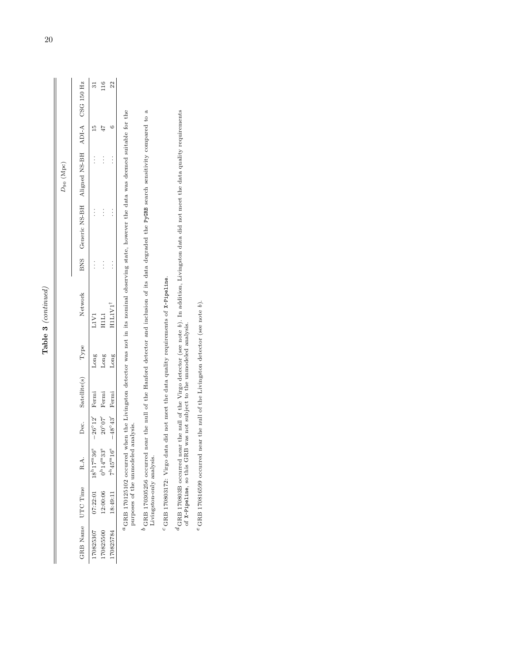| ١ |
|---|
| ç |
| ۴ |

|                |                                              | 51                     |                                                           | 22                                         |  |
|----------------|----------------------------------------------|------------------------|-----------------------------------------------------------|--------------------------------------------|--|
|                |                                              | 15                     |                                                           | C                                          |  |
| $D_{90}$ (Mpc) | Generic NS-BH Aligned NS-BH ADI-A CSG 150 Hz | $\vdots$               | $\vdots$                                                  | $\vdots$                                   |  |
|                |                                              | $\vdots$               | $\vdots$                                                  | $\vdots$                                   |  |
|                | BNS                                          | $\vdots$               | $\vdots$                                                  |                                            |  |
|                | Network                                      | L1V1                   | HILI                                                      | HILIVI'                                    |  |
|                | Type                                         | Long                   | Suor                                                      | Long                                       |  |
|                | Satellite(s)                                 |                        | Fermi                                                     |                                            |  |
|                | Dec.                                         | $-26^{\circ}12'$ Fermi | $20^{\circ}07'$                                           | $-48^{\circ}43'$ Fermi                     |  |
|                |                                              | $18^{h}17^{m}36^{s}$   | $12:00:06$ $0^{\mathrm{h}}14^{\mathrm{m}}33^{\mathrm{s}}$ |                                            |  |
|                | GRB Name UTC Time R.A.                       | 07:22:01               |                                                           | $18:49:11$ $7^{\rm h}45^{\rm m}16^{\rm s}$ |  |
|                |                                              | 70825307               | 70825500                                                  | 70825784                                   |  |

<sup>a</sup>GRB 170125102 occurred when the Livingston detector was not in its nominal observing state, however the data was deemed suitable for the purposes of the unmodeled analysis. GRB 170125102 occurred when the Livingston detector was not in its nominal observing state, however the data was deemed suitable for the purposes of the unmodeled analysis.

 $^b$  GRB 170305256 occurred near the null of the Hanford detector and inclusion of its data degraded the PyGRB search sensitivity compared to a Livingston-only analysis. GRB 170305256 occurred near the null of the Hanford detector and inclusion of its data degraded the PyGRB search sensitivity compared to a Livingston-only analysis.

 $^c$  GRB 170803172: Virgo data did not meet the data quality requirements of X-Pipeline. GRB 170803172: Virgo data did not meet the data quality requirements of X-Pipeline.

 ${}^d$ GRB 170803B occurred near the null of the Virgo detector (see note b). In addition, Livingston data did not meet the data quality requirements of X-Pipeline, so this GRB was not subject to the umnodeled analysis. GRB 170803B occurred near the null of the Virgo detector (see note b). In addition, Livingston data did not meet the data quality requirements of X-Pipeline, so this GRB was not subject to the unmodeled analysis.

 $\rm ^e$  GRB 170816599 occurred near the null of the Livingston detector (see note  $b).$  $\epsilon$  GRB 170816599 occurred near the null of the Livingston detector (see note b).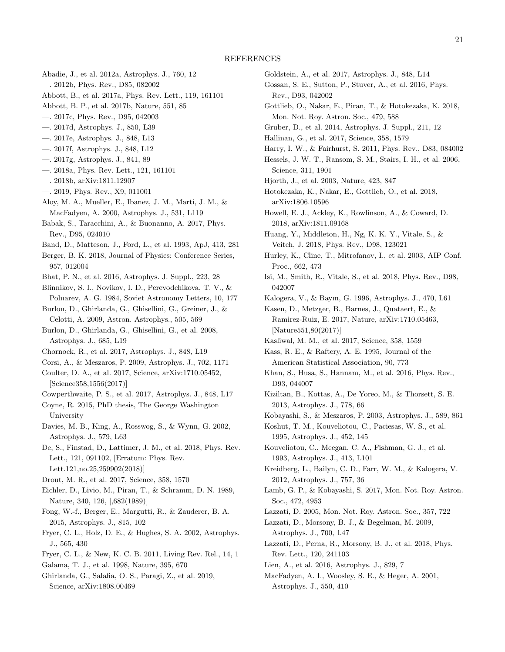- <span id="page-20-60"></span>Abadie, J., et al. 2012a, Astrophys. J., 760, 12
- <span id="page-20-56"></span>—. 2012b, Phys. Rev., D85, 082002
- <span id="page-20-11"></span>Abbott, B., et al. 2017a, Phys. Rev. Lett., 119, 161101
- <span id="page-20-25"></span>Abbott, B. P., et al. 2017b, Nature, 551, 85
- <span id="page-20-54"></span>—. 2017c, Phys. Rev., D95, 042003
- <span id="page-20-31"></span><span id="page-20-12"></span>—. 2017d, Astrophys. J., 850, L39
- —. 2017e, Astrophys. J., 848, L13
- <span id="page-20-16"></span>—. 2017f, Astrophys. J., 848, L12
- <span id="page-20-38"></span>—. 2017g, Astrophys. J., 841, 89
- <span id="page-20-32"></span><span id="page-20-23"></span>—. 2018a, Phys. Rev. Lett., 121, 161101
- —. 2018b, arXiv:1811.12907
- <span id="page-20-13"></span>—. 2019, Phys. Rev., X9, 011001
- <span id="page-20-48"></span>Aloy, M. A., Mueller, E., Ibanez, J. M., Marti, J. M., & MacFadyen, A. 2000, Astrophys. J., 531, L119
- <span id="page-20-46"></span>Babak, S., Taracchini, A., & Buonanno, A. 2017, Phys. Rev., D95, 024010
- <span id="page-20-61"></span>Band, D., Matteson, J., Ford, L., et al. 1993, ApJ, 413, 281
- <span id="page-20-55"></span>Berger, B. K. 2018, Journal of Physics: Conference Series, 957, 012004
- <span id="page-20-35"></span>Bhat, P. N., et al. 2016, Astrophys. J. Suppl., 223, 28
- <span id="page-20-9"></span>Blinnikov, S. I., Novikov, I. D., Perevodchikova, T. V., & Polnarev, A. G. 1984, Soviet Astronomy Letters, 10, 177
- <span id="page-20-52"></span>Burlon, D., Ghirlanda, G., Ghisellini, G., Greiner, J., & Celotti, A. 2009, Astron. Astrophys., 505, 569
- <span id="page-20-51"></span>Burlon, D., Ghirlanda, G., Ghisellini, G., et al. 2008, Astrophys. J., 685, L19
- <span id="page-20-29"></span><span id="page-20-7"></span>Chornock, R., et al. 2017, Astrophys. J., 848, L19
- <span id="page-20-15"></span>Corsi, A., & Meszaros, P. 2009, Astrophys. J., 702, 1171
- Coulter, D. A., et al. 2017, Science, arXiv:1710.05452, [Science358,1556(2017)]
- <span id="page-20-28"></span>Cowperthwaite, P. S., et al. 2017, Astrophys. J., 848, L17
- <span id="page-20-37"></span>Coyne, R. 2015, PhD thesis, The George Washington University
- <span id="page-20-5"></span>Davies, M. B., King, A., Rosswog, S., & Wynn, G. 2002, Astrophys. J., 579, L63
- <span id="page-20-24"></span>De, S., Finstad, D., Lattimer, J. M., et al. 2018, Phys. Rev. Lett., 121, 091102, [Erratum: Phys. Rev. Lett.121,no.25,259902(2018)]
- <span id="page-20-27"></span>Drout, M. R., et al. 2017, Science, 358, 1570
- <span id="page-20-10"></span>Eichler, D., Livio, M., Piran, T., & Schramm, D. N. 1989, Nature, 340, 126, [,682(1989)]
- <span id="page-20-40"></span>Fong, W.-f., Berger, E., Margutti, R., & Zauderer, B. A. 2015, Astrophys. J., 815, 102
- <span id="page-20-4"></span>Fryer, C. L., Holz, D. E., & Hughes, S. A. 2002, Astrophys. J., 565, 430
- <span id="page-20-3"></span>Fryer, C. L., & New, K. C. B. 2011, Living Rev. Rel., 14, 1
- <span id="page-20-22"></span><span id="page-20-1"></span>Galama, T. J., et al. 1998, Nature, 395, 670
- Ghirlanda, G., Salafia, O. S., Paragi, Z., et al. 2019, Science, arXiv:1808.00469
- <span id="page-20-14"></span>Goldstein, A., et al. 2017, Astrophys. J., 848, L14
- <span id="page-20-8"></span>Gossan, S. E., Sutton, P., Stuver, A., et al. 2016, Phys. Rev., D93, 042002
- <span id="page-20-19"></span>Gottlieb, O., Nakar, E., Piran, T., & Hotokezaka, K. 2018, Mon. Not. Roy. Astron. Soc., 479, 588
- <span id="page-20-34"></span>Gruber, D., et al. 2014, Astrophys. J. Suppl., 211, 12
- <span id="page-20-18"></span>Hallinan, G., et al. 2017, Science, 358, 1579
- <span id="page-20-39"></span>Harry, I. W., & Fairhurst, S. 2011, Phys. Rev., D83, 084002
- <span id="page-20-44"></span>Hessels, J. W. T., Ransom, S. M., Stairs, I. H., et al. 2006, Science, 311, 1901
- <span id="page-20-2"></span>Hjorth, J., et al. 2003, Nature, 423, 847
- <span id="page-20-26"></span>Hotokezaka, K., Nakar, E., Gottlieb, O., et al. 2018, arXiv:1806.10596
- <span id="page-20-62"></span>Howell, E. J., Ackley, K., Rowlinson, A., & Coward, D. 2018, arXiv:1811.09168
- <span id="page-20-59"></span>Huang, Y., Middleton, H., Ng, K. K. Y., Vitale, S., & Veitch, J. 2018, Phys. Rev., D98, 123021
- <span id="page-20-36"></span>Hurley, K., Cline, T., Mitrofanov, I., et al. 2003, AIP Conf. Proc., 662, 473
- <span id="page-20-57"></span>Isi, M., Smith, R., Vitale, S., et al. 2018, Phys. Rev., D98, 042007
- <span id="page-20-43"></span><span id="page-20-30"></span>Kalogera, V., & Baym, G. 1996, Astrophys. J., 470, L61

Kasen, D., Metzger, B., Barnes, J., Quataert, E., & Ramirez-Ruiz, E. 2017, Nature, arXiv:1710.05463, [Nature551,80(2017)]

- <span id="page-20-17"></span>Kasliwal, M. M., et al. 2017, Science, 358, 1559
- <span id="page-20-58"></span>Kass, R. E., & Raftery, A. E. 1995, Journal of the American Statistical Association, 90, 773
- <span id="page-20-41"></span>Khan, S., Husa, S., Hannam, M., et al. 2016, Phys. Rev., D93, 044007
- <span id="page-20-42"></span>Kiziltan, B., Kottas, A., De Yoreo, M., & Thorsett, S. E. 2013, Astrophys. J., 778, 66
- <span id="page-20-6"></span>Kobayashi, S., & Meszaros, P. 2003, Astrophys. J., 589, 861
- <span id="page-20-47"></span>Koshut, T. M., Kouveliotou, C., Paciesas, W. S., et al. 1995, Astrophys. J., 452, 145
- <span id="page-20-0"></span>Kouveliotou, C., Meegan, C. A., Fishman, G. J., et al. 1993, Astrophys. J., 413, L101
- <span id="page-20-45"></span>Kreidberg, L., Bailyn, C. D., Farr, W. M., & Kalogera, V. 2012, Astrophys. J., 757, 36
- <span id="page-20-20"></span>Lamb, G. P., & Kobayashi, S. 2017, Mon. Not. Roy. Astron. Soc., 472, 4953
- <span id="page-20-50"></span>Lazzati, D. 2005, Mon. Not. Roy. Astron. Soc., 357, 722
- <span id="page-20-53"></span>Lazzati, D., Morsony, B. J., & Begelman, M. 2009, Astrophys. J., 700, L47
- <span id="page-20-21"></span>Lazzati, D., Perna, R., Morsony, B. J., et al. 2018, Phys. Rev. Lett., 120, 241103
- <span id="page-20-49"></span><span id="page-20-33"></span>Lien, A., et al. 2016, Astrophys. J., 829, 7
- MacFadyen, A. I., Woosley, S. E., & Heger, A. 2001, Astrophys. J., 550, 410